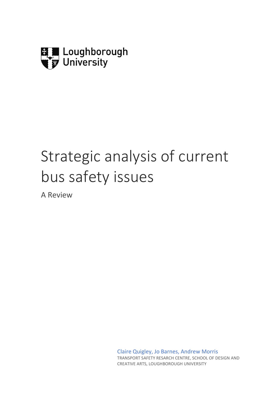

# Strategic analysis of current bus safety issues

A Review

Claire Quigley, Jo Barnes, Andrew Morris TRANSPORT SAFETY RESARCH CENTRE, SCHOOL OF DESIGN AND CREATIVE ARTS, LOUGHBOROUGH UNIVERSITY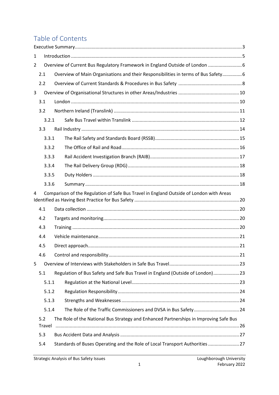# Table of Contents

| 1 |                                                                              |                                                                                         |  |  |  |  |
|---|------------------------------------------------------------------------------|-----------------------------------------------------------------------------------------|--|--|--|--|
| 2 | Overview of Current Bus Regulatory Framework in England Outside of London  6 |                                                                                         |  |  |  |  |
|   | 2.1                                                                          | Overview of Main Organisations and their Responsibilities in terms of Bus Safety 6      |  |  |  |  |
|   | 2.2                                                                          |                                                                                         |  |  |  |  |
| 3 |                                                                              |                                                                                         |  |  |  |  |
|   | 3.1                                                                          |                                                                                         |  |  |  |  |
|   | 3.2                                                                          |                                                                                         |  |  |  |  |
|   | 3.2.1                                                                        |                                                                                         |  |  |  |  |
|   | 3.3                                                                          |                                                                                         |  |  |  |  |
|   | 3.3.1                                                                        |                                                                                         |  |  |  |  |
|   | 3.3.2                                                                        |                                                                                         |  |  |  |  |
|   | 3.3.3                                                                        |                                                                                         |  |  |  |  |
|   | 3.3.4                                                                        |                                                                                         |  |  |  |  |
|   | 3.3.5                                                                        |                                                                                         |  |  |  |  |
|   | 3.3.6                                                                        |                                                                                         |  |  |  |  |
| 4 |                                                                              | Comparison of the Regulation of Safe Bus Travel in England Outside of London with Areas |  |  |  |  |
|   |                                                                              |                                                                                         |  |  |  |  |
|   | 4.1                                                                          |                                                                                         |  |  |  |  |
|   | 4.2                                                                          |                                                                                         |  |  |  |  |
|   | 4.3                                                                          |                                                                                         |  |  |  |  |
|   | 4.4                                                                          |                                                                                         |  |  |  |  |
|   | 4.5                                                                          |                                                                                         |  |  |  |  |
|   | 4.6                                                                          |                                                                                         |  |  |  |  |
| 5 |                                                                              |                                                                                         |  |  |  |  |
|   | 5.1                                                                          | Regulation of Bus Safety and Safe Bus Travel in England (Outside of London)23           |  |  |  |  |
|   | 5.1.1                                                                        |                                                                                         |  |  |  |  |
|   | 5.1.2                                                                        |                                                                                         |  |  |  |  |
|   | 5.1.3                                                                        |                                                                                         |  |  |  |  |
|   | 5.1.4                                                                        | The Role of the Traffic Commissioners and DVSA in Bus Safety 24                         |  |  |  |  |
|   | 5.2                                                                          | The Role of the National Bus Strategy and Enhanced Partnerships in Improving Safe Bus   |  |  |  |  |
|   | Travel                                                                       |                                                                                         |  |  |  |  |
|   | 5.3                                                                          |                                                                                         |  |  |  |  |
|   | 5.4                                                                          | Standards of Buses Operating and the Role of Local Transport Authorities 27             |  |  |  |  |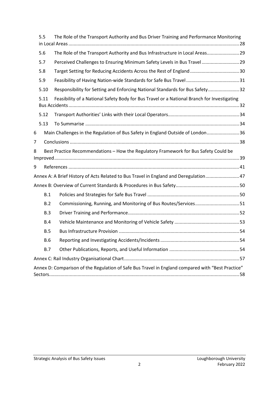|   | The Role of the Transport Authority and Bus Driver Training and Performance Monitoring<br>5.5 |                                                                                                   |  |  |
|---|-----------------------------------------------------------------------------------------------|---------------------------------------------------------------------------------------------------|--|--|
|   | 5.6                                                                                           | The Role of the Transport Authority and Bus Infrastructure in Local Areas 29                      |  |  |
|   | 5.7                                                                                           | Perceived Challenges to Ensuring Minimum Safety Levels in Bus Travel29                            |  |  |
|   | 5.8                                                                                           |                                                                                                   |  |  |
|   | 5.9                                                                                           |                                                                                                   |  |  |
|   | 5.10                                                                                          | Responsibility for Setting and Enforcing National Standards for Bus Safety32                      |  |  |
|   | 5.11                                                                                          | Feasibility of a National Safety Body for Bus Travel or a National Branch for Investigating       |  |  |
|   | 5.12                                                                                          |                                                                                                   |  |  |
|   | 5.13                                                                                          |                                                                                                   |  |  |
| 6 |                                                                                               | Main Challenges in the Regulation of Bus Safety in England Outside of London 36                   |  |  |
| 7 |                                                                                               |                                                                                                   |  |  |
| 8 |                                                                                               | Best Practice Recommendations - How the Regulatory Framework for Bus Safety Could be              |  |  |
|   |                                                                                               |                                                                                                   |  |  |
| 9 |                                                                                               |                                                                                                   |  |  |
|   |                                                                                               | Annex A: A Brief History of Acts Related to Bus Travel in England and Deregulation47              |  |  |
|   |                                                                                               |                                                                                                   |  |  |
|   | B.1                                                                                           |                                                                                                   |  |  |
|   | B.2                                                                                           | Commissioning, Running, and Monitoring of Bus Routes/Services51                                   |  |  |
|   | B.3                                                                                           |                                                                                                   |  |  |
|   | B.4                                                                                           |                                                                                                   |  |  |
|   | <b>B.5</b>                                                                                    |                                                                                                   |  |  |
|   | <b>B.6</b>                                                                                    |                                                                                                   |  |  |
|   | <b>B.7</b>                                                                                    |                                                                                                   |  |  |
|   |                                                                                               |                                                                                                   |  |  |
|   |                                                                                               | Annex D: Comparison of the Regulation of Safe Bus Travel in England compared with "Best Practice" |  |  |
|   |                                                                                               |                                                                                                   |  |  |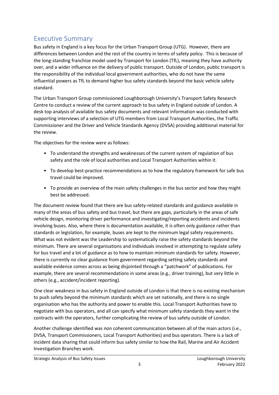# <span id="page-3-0"></span>Executive Summary

Bus safety in England is a key focus for the Urban Transport Group (UTG). However, there are differences between London and the rest of the country in terms of safety policy. This is because of the long-standing franchise model used by Transport for London (TfL), meaning they have authority over, and a wider influence on the delivery of public transport. Outside of London, public transport is the responsibility of the individual local government authorities, who do not have the same influential powers as TfL to demand higher bus safety standards beyond the basic vehicle safety standard.

The Urban Transport Group commissioned Loughborough University's Transport Safety Research Centre to conduct a review of the current approach to bus safety in England outside of London. A desk top analysis of available bus safety documents and relevant information was conducted with supporting interviews of a selection of UTG members from Local Transport Authorities, the Traffic Commissioner and the Driver and Vehicle Standards Agency (DVSA) providing additional material for the review.

The objectives for the review were as follows:

- To understand the strengths and weaknesses of the current system of regulation of bus safety and the role of local authorities and Local Transport Authorities within it.
- To develop best-practice recommendations as to how the regulatory framework for safe bus travel could be improved.
- To provide an overview of the main safety challenges in the bus sector and how they might best be addressed.

The document review found that there are bus safety-related standards and guidance available in many of the areas of bus safety and bus travel, but there are gaps, particularly in the areas of safe vehicle design, monitoring driver performance and investigating/reporting accidents and incidents involving buses. Also, where there is documentation available, it is often only guidance rather than standards or legislation, for example, buses are kept to the minimum legal safety requirements. What was not evident was the Leadership to systematically raise the safety standards beyond the minimum. There are several organisations and individuals involved in attempting to regulate safety for bus travel and a lot of guidance as to how to maintain minimum standards for safety. However, there is currently no clear guidance from government regarding setting safety standards and available evidence comes across as being disjointed through a "patchwork" of publications. For example, there are several recommendations in some areas (e.g., driver training), but very little in others (e.g., accident/incident reporting).

One clear weakness in bus safety in England outside of London is that there is no existing mechanism to push safety beyond the minimum standards which are set nationally, and there is no single organisation who has the authority and power to enable this. Local Transport Authorities have to negotiate with bus operators, and all can specify what minimum safety standards they want in the contracts with the operators, further complicating the review of bus safety outside of London.

Another challenge identified was non coherent communication between all of the main actors (i.e., DVSA, Transport Commissioners, Local Transport Authorities) and bus operators. There is a lack of incident data sharing that could inform bus safety similar to how the Rail, Marine and Air Accident Investigation Branches work.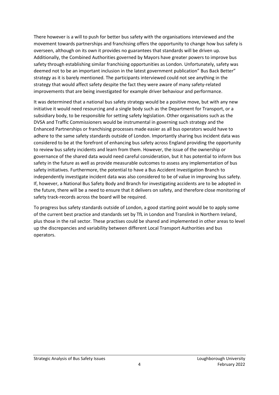There however is a will to push for better bus safety with the organisations interviewed and the movement towards partnerships and franchising offers the opportunity to change how bus safety is overseen, although on its own it provides no guarantees that standards will be driven up. Additionally, the Combined Authorities governed by Mayors have greater powers to improve bus safety through establishing similar franchising opportunities as London. Unfortunately, safety was deemed not to be an important inclusion in the latest government publication" Bus Back Better" strategy as it is barely mentioned. The participants interviewed could not see anything in the strategy that would affect safety despite the fact they were aware of many safety-related improvements that are being investigated for example driver behaviour and performance.

It was determined that a national bus safety strategy would be a positive move, but with any new initiative it would need resourcing and a single body such as the Department for Transport, or a subsidiary body, to be responsible for setting safety legislation. Other organisations such as the DVSA and Traffic Commissioners would be instrumental in governing such strategy and the Enhanced Partnerships or franchising processes made easier as all bus operators would have to adhere to the same safety standards outside of London. Importantly sharing bus incident data was considered to be at the forefront of enhancing bus safety across England providing the opportunity to review bus safety incidents and learn from them. However, the issue of the ownership or governance of the shared data would need careful consideration, but it has potential to inform bus safety in the future as well as provide measurable outcomes to assess any implementation of bus safety initiatives. Furthermore, the potential to have a Bus Accident Investigation Branch to independently investigate incident data was also considered to be of value in improving bus safety. If, however, a National Bus Safety Body and Branch for investigating accidents are to be adopted in the future, there will be a need to ensure that it delivers on safety, and therefore close monitoring of safety track-records across the board will be required.

To progress bus safety standards outside of London, a good starting point would be to apply some of the current best practice and standards set by TfL in London and Translink in Northern Ireland, plus those in the rail sector. These practises could be shared and implemented in other areas to level up the discrepancies and variability between different Local Transport Authorities and bus operators.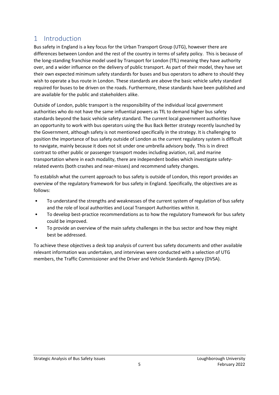## <span id="page-5-0"></span>1 Introduction

Bus safety in England is a key focus for the Urban Transport Group (UTG), however there are differences between London and the rest of the country in terms of safety policy. This is because of the long-standing franchise model used by Transport for London (TfL) meaning they have authority over, and a wider influence on the delivery of public transport. As part of their model, they have set their own expected minimum safety standards for buses and bus operators to adhere to should they wish to operate a bus route in London. These standards are above the basic vehicle safety standard required for buses to be driven on the roads. Furthermore, these standards have been published and are available for the public and stakeholders alike.

Outside of London, public transport is the responsibility of the individual local government authorities who do not have the same influential powers as TfL to demand higher bus safety standards beyond the basic vehicle safety standard. The current local government authorities have an opportunity to work with bus operators using the Bus Back Better strategy recently launched by the Government, although safety is not mentioned specifically in the strategy. It is challenging to position the importance of bus safety outside of London as the current regulatory system is difficult to navigate, mainly because it does not sit under one umbrella advisory body. This is in direct contrast to other public or passenger transport modes including aviation, rail, and marine transportation where in each modality, there are independent bodies which investigate safetyrelated events (both crashes and near-misses) and recommend safety changes.

To establish what the current approach to bus safety is outside of London, this report provides an overview of the regulatory framework for bus safety in England. Specifically, the objectives are as follows:

- To understand the strengths and weaknesses of the current system of regulation of bus safety and the role of local authorities and Local Transport Authorities within it.
- To develop best-practice recommendations as to how the regulatory framework for bus safety could be improved.
- To provide an overview of the main safety challenges in the bus sector and how they might best be addressed.

To achieve these objectives a desk top analysis of current bus safety documents and other available relevant information was undertaken, and interviews were conducted with a selection of UTG members, the Traffic Commissioner and the Driver and Vehicle Standards Agency (DVSA).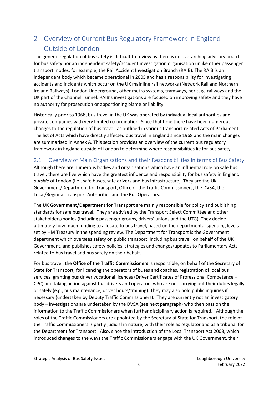# <span id="page-6-0"></span>2 Overview of Current Bus Regulatory Framework in England Outside of London

The general regulation of bus safety is difficult to review as there is no overarching advisory board for bus safety nor an independent safety/accident investigation organisation unlike other passenger transport modes, for example, the Rail Accident Investigation Branch (RAIB). The RAIB is an independent body which became operational in 2005 and has a responsibility for investigating accidents and incidents which occur on the UK mainline rail networks (Network Rail and Northern Ireland Railways), London Underground, other metro systems, tramways, heritage railways and the UK part of the Channel Tunnel. RAIB's investigations are focused on improving safety and they have no authority for prosecution or apportioning blame or liability.

Historically prior to 1968, bus travel in the UK was operated by individual local authorities and private companies with very limited co-ordination. Since that time there have been numerous changes to the regulation of bus travel, as outlined in various transport-related Acts of Parliament. The list of Acts which have directly affected bus travel in England since 1968 and the main changes are summarised in Annex A. This section provides an overview of the current bus regulatory framework in England outside of London to determine where responsibilities lie for bus safety.

## <span id="page-6-1"></span>2.1 Overview of Main Organisations and their Responsibilities in terms of Bus Safety

Although there are numerous bodies and organisations which have an influential role on safe bus travel, there are five which have the greatest influence and responsibility for bus safety in England *outside* of London (i.e., safe buses, safe drivers and bus infrastructure). They are the UK Government/Department for Transport, Office of the Traffic Commissioners, the DVSA, the Local/Regional Transport Authorities and the Bus Operators.

The **UK Government/Department for Transport** are mainly responsible for policy and publishing standards for safe bus travel. They are advised by the Transport Select Committee and other stakeholders/bodies (including passenger groups, drivers' unions and the UTG). They decide ultimately how much funding to allocate to bus travel, based on the departmental spending levels set by HM Treasury in the spending review. The Department for Transport is the Government department which oversees safety on public transport, including bus travel, on behalf of the UK Government, and publishes safety policies, strategies and changes/updates to Parliamentary Acts related to bus travel and bus safety on their behalf.

For bus travel, the **Office of the Traffic Commissioners** is responsible, on behalf of the Secretary of State for Transport, for licencing the operators of buses and coaches, registration of local bus services, granting bus driver vocational licences (Driver Certificates of Professional Competence – CPC) and taking action against bus drivers and operators who are not carrying out their duties legally or safely (e.g., bus maintenance, driver hours/training). They may also hold public inquiries if necessary (undertaken by Deputy Traffic Commissioners). They are currently not an investigatory body – investigations are undertaken by the DVSA (see next paragraph) who then pass on the information to the Traffic Commissioners when further disciplinary action is required. Although the roles of the Traffic Commissioners are appointed by the Secretary of State for Transport, the role of the Traffic Commissioners is partly judicial in nature, with their role as regulator and as a tribunal for the Department for Transport. Also, since the introduction of the Local Transport Act 2008, which introduced changes to the ways the Traffic Commissioners engage with the UK Government, their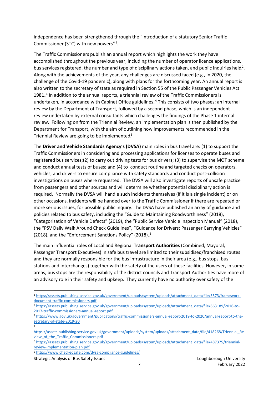independence has been strengthened through the "introduction of a statutory Senior Traffic Commissioner (STC) with new powers".<sup>1</sup>.

The Traffic Commissioners publish an annual report which highlights the work they have accomplished throughout the previous year, including the number of operator licence applications, bus services registered, the number and type of disciplinary actions taken, and public inquiries held<sup>2</sup>. Along with the achievements of the year, any challenges are discussed faced (e.g., in 2020, the challenge of the Covid-19 pandemic), along with plans for the forthcoming year. An annual report is also written to the secretary of state as required in Section 55 of the Public Passenger Vehicles Act 1981.<sup>3</sup> In addition to the annual reports, a triennial review of the Traffic Commissioners is undertaken, in accordance with Cabinet Office guidelines.<sup>4</sup> This consists of two phases: an internal review by the Department of Transport, followed by a second phase, which is an independent review undertaken by external consultants which challenges the findings of the Phase 1 internal review. Following on from the Triennial Review, an implementation plan is then published by the Department for Transport, with the aim of outlining how improvements recommended in the Triennial Review are going to be implemented<sup>5</sup>.

The **Driver and Vehicle Standards Agency**'**s (DVSA)** main roles in bus travel are: (1) to support the Traffic Commissioners in considering and processing applications for licenses to operate buses and registered bus services;(2) to carry out driving tests for bus drivers; (3) to supervise the MOT scheme and conduct annual tests of buses; and (4) to conduct routine and targeted checks on operators, vehicles, and drivers to ensure compliance with safety standards and conduct post-collision investigations on buses where requested. The DVSA will also investigate reports of unsafe practice from passengers and other sources and will determine whether potential disciplinary action is required. Normally the DVSA will handle such incidents themselves (if it is a single incident) or on other occasions, incidents will be handed over to the Traffic Commissioner if there are repeated or more serious issues, for possible public inquiry. The DVSA have published an array of guidance and policies related to bus safety, including the "Guide to Maintaining Roadworthiness" (2018), "Categorisation of Vehicle Defects" (2019), the "Public Service Vehicle Inspection Manual" (2018), the "PSV Daily Walk Around Check Guidelines", "Guidance for Drivers: Passenger Carrying Vehicles" (2018), and the "Enforcement Sanctions Policy" (2018).<sup>6</sup>

The main influential roles of Local and Regional **Transport Authorities** (Combined, Mayoral, Passenger Transport Executives) in safe bus travel are limited to their subsidised/franchised routes and they are normally responsible for the bus infrastructure in their area (e.g., bus stops, bus stations and interchanges) together with the safety of the users of these facilities. However, in some areas, bus stops are the responsibility of the district councils and Transport Authorities have more of an advisory role in their safety and upkeep. They currently have no authority over safety of the

<sup>6</sup> <https://www.checkedsafe.com/dvsa-compliance-guidelines/>

4

<sup>1</sup> [https://assets.publishing.service.gov.uk/government/uploads/system/uploads/attachment\\_data/file/3573/framework](https://assets.publishing.service.gov.uk/government/uploads/system/uploads/attachment_data/file/3573/framework-document-traffic-commissioners.pdf)[document-traffic-commissioners.pdf](https://assets.publishing.service.gov.uk/government/uploads/system/uploads/attachment_data/file/3573/framework-document-traffic-commissioners.pdf)

<sup>2</sup> [https://assets.publishing.service.gov.uk/government/uploads/system/uploads/attachment\\_data/file/663189/2016-to-](https://assets.publishing.service.gov.uk/government/uploads/system/uploads/attachment_data/file/663189/2016-to-2017-traffic-commissioners-annual-report.pdf)[2017-traffic-commissioners-annual-report.pdf](https://assets.publishing.service.gov.uk/government/uploads/system/uploads/attachment_data/file/663189/2016-to-2017-traffic-commissioners-annual-report.pdf)

<sup>3</sup> [https://www.gov.uk/government/publications/traffic-commissioners-annual-report-2019-to-2020/annual-report-to-the](https://www.gov.uk/government/publications/traffic-commissioners-annual-report-2019-to-2020/annual-report-to-the-secretary-of-state-2019-20)[secretary-of-state-2019-20](https://www.gov.uk/government/publications/traffic-commissioners-annual-report-2019-to-2020/annual-report-to-the-secretary-of-state-2019-20)

[https://assets.publishing.service.gov.uk/government/uploads/system/uploads/attachment\\_data/file/418268/Triennial\\_Re](https://assets.publishing.service.gov.uk/government/uploads/system/uploads/attachment_data/file/418268/Triennial_Review_of_the_Traffic_Commissioners.pdf) view of the Traffic Commissioners.pdf

<sup>5</sup> [https://assets.publishing.service.gov.uk/government/uploads/system/uploads/attachment\\_data/file/487375/triennial](https://assets.publishing.service.gov.uk/government/uploads/system/uploads/attachment_data/file/487375/triennial-review-implementation-plan.pdf)[review-implementation-plan.pdf](https://assets.publishing.service.gov.uk/government/uploads/system/uploads/attachment_data/file/487375/triennial-review-implementation-plan.pdf)

Strategic Analysis of Bus Safety Issues Loughborough University Loughborough University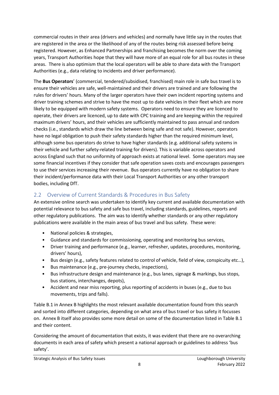commercial routes in their area (drivers and vehicles) and normally have little say in the routes that are registered in the area or the likelihood of any of the routes being risk assessed before being registered. However, as Enhanced Partnerships and franchising becomes the norm over the coming years, Transport Authorities hope that they will have more of an equal role for all bus routes in these areas. There is also optimism that the local operators will be able to share data with the Transport Authorities (e.g., data relating to incidents and driver performance).

The **Bus Operators**' (commercial, tendered/subsidised, franchised) main role in safe bus travel is to ensure their vehicles are safe, well-maintained and their drivers are trained and are following the rules for drivers' hours. Many of the larger operators have their own incident reporting systems and driver training schemes and strive to have the most up to date vehicles in their fleet which are more likely to be equipped with modern safety systems. Operators need to ensure they are licenced to operate, their drivers are licenced, up to date with CPC training and are keeping within the required maximum drivers' hours, and their vehicles are sufficiently maintained to pass annual and random checks (i.e., standards which draw the line between being safe and not safe). However, operators have no legal obligation to push their safety standards higher than the required minimum level, although some bus operators do strive to have higher standards (e.g. additional safety systems in their vehicle and further safety-related training for drivers). This is variable across operators and across England such that no uniformity of approach exists at national level. Some operators may see some financial incentives if they consider that safe operation saves costs and encourages passengers to use their services increasing their revenue. Bus operators currently have no obligation to share their incident/performance data with their Local Transport Authorities or any other transport bodies, including DfT.

## <span id="page-8-0"></span>2.2 Overview of Current Standards & Procedures in Bus Safety

An extensive online search was undertaken to identify key current and available documentation with potential relevance to bus safety and safe bus travel, including standards, guidelines, reports and other regulatory publications. The aim was to identify whether standards or any other regulatory publications were available in the main areas of bus travel and bus safety. These were:

- National policies & strategies,
- Guidance and standards for commissioning, operating and monitoring bus services,
- Driver training and performance (e.g., learner, refresher, updates, procedures, monitoring, drivers' hours),
- Bus design (e.g., safety features related to control of vehicle, field of view, conspicuity etc…),
- Bus maintenance (e.g., pre-journey checks, inspections),
- Bus infrastructure design and maintenance (e.g., bus lanes, signage & markings, bus stops, bus stations, interchanges, depots),
- Accident and near miss reporting, plus reporting of accidents in buses (e.g., due to bus movements, trips and falls).

Table B.1 in Annex B highlights the most relevant available documentation found from this search and sorted into different categories, depending on what area of bus travel or bus safety it focusses on. Annex B itself also provides some more detail on some of the documentation listed in Table B.1 and their content.

Considering the amount of documentation that exists, it was evident that there are no overarching documents in each area of safety which present a national approach or guidelines to address 'bus safety'.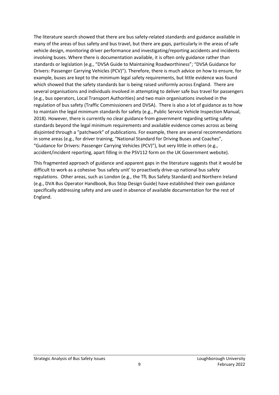The literature search showed that there are bus safety-related standards and guidance available in many of the areas of bus safety and bus travel, but there are gaps, particularly in the areas of safe vehicle design, monitoring driver performance and investigating/reporting accidents and incidents involving buses. Where there is documentation available, it is often only guidance rather than standards or legislation (e.g., "DVSA Guide to Maintaining Roadworthiness"; "DVSA Guidance for Drivers: Passenger Carrying Vehicles (PCV)"). Therefore, there is much advice on how to ensure, for example, buses are kept to the minimum legal safety requirements, but little evidence was found which showed that the safety standards bar is being raised uniformly across England. There are several organisations and individuals involved in attempting to deliver safe bus travel for passengers (e.g., bus operators, Local Transport Authorities) and two main organisations involved in the regulation of bus safety (Traffic Commissioners and DVSA). There is also a lot of guidance as to how to maintain the legal minimum standards for safety (e.g., Public Service Vehicle Inspection Manual, 2018). However, there is currently no clear guidance from government regarding setting safety standards beyond the legal minimum requirements and available evidence comes across as being disjointed through a "patchwork" of publications. For example, there are several recommendations in some areas (e.g., for driver training, "National Standard for Driving Buses and Coaches", "Guidance for Drivers: Passenger Carrying Vehicles (PCV)"), but very little in others (e.g., accident/incident reporting, apart filling in the PSV112 form on the UK Government website).

This fragmented approach of guidance and apparent gaps in the literature suggests that it would be difficult to work as a cohesive 'bus safety unit' to proactively drive-up national bus safety regulations. Other areas, such as London (e.g., the TfL Bus Safety Standard) and Northern Ireland (e.g., DVA Bus Operator Handbook, Bus Stop Design Guide) have established their own guidance specifically addressing safety and are used in absence of available documentation for the rest of England.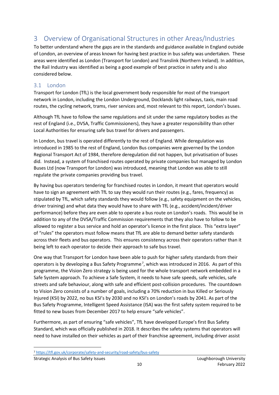# <span id="page-10-0"></span>3 Overview of Organisational Structures in other Areas/Industries

To better understand where the gaps are in the standards and guidance available in England outside of London, an overview of areas known for having best practice in bus safety was undertaken. These areas were identified as London (Transport for London) and Translink (Northern Ireland). In addition, the Rail Industry was identified as being a good example of best practice in safety and is also considered below.

## <span id="page-10-1"></span>3.1 London

Transport for London (TfL) is the local government body responsible for most of the transport network in London, including the London Underground, Docklands light railways, taxis, main road routes, the cycling network, trams, river services and, most relevant to this report, London's buses.

Although TfL have to follow the same regulations and sit under the same regulatory bodies as the rest of England (i.e., DVSA, Traffic Commissioners), they have a greater responsibility than other Local Authorities for ensuring safe bus travel for drivers and passengers.

In London, bus travel is operated differently to the rest of England. While deregulation was introduced in 1985 to the rest of England, London Bus companies were governed by the London Regional Transport Act of 1984, therefore deregulation did not happen, but privatisation of buses did. Instead, a system of franchised routes operated by private companies but managed by London Buses Ltd (now Transport for London) was introduced, meaning that London was able to still regulate the private companies providing bus travel.

By having bus operators tendering for franchised routes in London, it meant that operators would have to sign an agreement with TfL to say they would run their routes (e.g., fares, frequency) as stipulated by TfL, which safety standards they would follow (e.g., safety equipment on the vehicles, driver training) and what data they would have to share with TfL (e.g., accident/incident/driver performance) before they are even able to operate a bus route on London's roads. This would be in addition to any of the DVSA/Traffic Commission requirements that they also have to follow to be allowed to register a bus service and hold an operator's licence in the first place. This "extra layer" of "rules" the operators must follow means that TfL are able to demand better safety standards across their fleets and bus operators. This ensures consistency across their operators rather than it being left to each operator to decide their approach to safe bus travel.

One way that Transport for London have been able to push for higher safety standards from their operators is by developing a Bus Safety Programme<sup>7</sup>, which was introduced in 2016. As part of this programme, the Vision Zero strategy is being used for the whole transport network embedded in a Safe System approach. To achieve a Safe System, it needs to have safe speeds, safe vehicles, safe streets and safe behaviour, along with safe and efficient post-collision procedures. The countdown to Vision Zero consists of a number of goals, including a 70% reduction in bus Killed or Seriously Injured (KSI) by 2022, no bus KSI's by 2030 and no KSI's on London's roads by 2041. As part of the Bus Safety Programme, Intelligent Speed Assistance (ISA) was the first safety system required to be fitted to new buses from December 2017 to help ensure "safe vehicles".

Furthermore, as part of ensuring "safe vehicles", TfL have developed Europe's first Bus Safety Standard, which was officially published in 2018. It describes the safety systems that operators will need to have installed on their vehicles as part of their franchise agreement, including driver assist

<sup>7</sup> <https://tfl.gov.uk/corporate/safety-and-security/road-safety/bus-safety>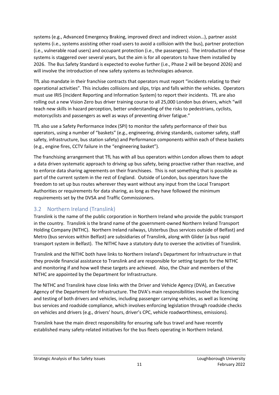systems (e.g., Advanced Emergency Braking, improved direct and indirect vision…), partner assist systems (i.e., systems assisting other road users to avoid a collision with the bus), partner protection (i.e., vulnerable road users) and occupant protection (i.e., the passengers). The introduction of these systems is staggered over several years, but the aim is for all operators to have them installed by 2026. The Bus Safety Standard is expected to evolve further (i.e., Phase 2 will be beyond 2026) and will involve the introduction of new safety systems as technologies advance.

TfL also mandate in their franchise contracts that operators must report "incidents relating to their operational activities". This includes collisions and slips, trips and falls within the vehicles. Operators must use IRIS (Incident Reporting and Information System) to report their incidents. TfL are also rolling out a new Vision Zero bus driver training course to all 25,000 London bus drivers, which "will teach new skills in hazard perception, better understanding of the risks to pedestrians, cyclists, motorcyclists and passengers as well as ways of preventing driver fatigue."

TfL also use a Safety Performance Index (SPI) to monitor the safety performance of their bus operators, using a number of "baskets" (e.g., engineering, driving standards, customer safety, staff safety, infrastructure, bus station safety) and Performance components within each of these baskets (e.g., engine fires, CCTV failure in the "engineering basket").

The franchising arrangement that TfL has with all bus operators within London allows them to adopt a data driven systematic approach to driving up bus safety, being proactive rather than reactive, and to enforce data sharing agreements on their franchisees. This is not something that is possible as part of the current system in the rest of England. Outside of London, bus operators have the freedom to set up bus routes wherever they want without any input from the Local Transport Authorities or requirements for data sharing, as long as they have followed the minimum requirements set by the DVSA and Traffic Commissioners.

## <span id="page-11-0"></span>3.2 Northern Ireland (Translink)

Translink is the name of the public corporation in Northern Ireland who provide the public transport in the country. Translink is the brand name of the government-owned Northern Ireland Transport Holding Company (NITHC). Northern Ireland railways, Ulsterbus (bus services outside of Belfast) and Metro (bus services within Belfast) are subsidiaries of Translink, along with Glider (a bus rapid transport system in Belfast). The NITHC have a statutory duty to oversee the activities of Translink.

Translink and the NITHC both have links to Northern Ireland's Department for Infrastructure in that they provide financial assistance to Translink and are responsible for setting targets for the NITHC and monitoring if and how well these targets are achieved. Also, the Chair and members of the NITHC are appointed by the Department for Infrastructure.

The NITHC and Translink have close links with the Driver and Vehicle Agency (DVA), an Executive Agency of the Department for Infrastructure. The DVA's main responsibilities involve the licencing and testing of both drivers and vehicles, including passenger carrying vehicles, as well as licencing bus services and roadside compliance, which involves enforcing legislation through roadside checks on vehicles and drivers (e.g., drivers' hours, driver's CPC, vehicle roadworthiness, emissions).

Translink have the main direct responsibility for ensuring safe bus travel and have recently established many safety-related initiatives for the bus fleets operating in Northern Ireland.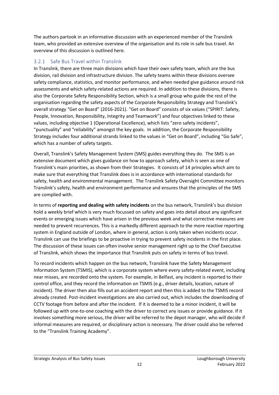The authors partook in an informative discussion with an experienced member of the Translink team, who provided an extensive overview of the organisation and its role in safe bus travel. An overview of this discussion is outlined here.

#### <span id="page-12-0"></span>3.2.1 Safe Bus Travel within Translink

In Translink, there are three main divisions which have their own safety team, which are the bus division, rail division and infrastructure division. The safety teams within these divisions oversee safety compliance, statistics, and monitor performance, and when needed give guidance around risk assessments and which safety-related actions are required. In addition to these divisions, there is also the Corporate Safety Responsibility Section, which is a small group who guide the rest of the organisation regarding the safety aspects of the Corporate Responsibility Strategy and Translink's overall strategy "Get on Board" (2016-2021). "Get on Board" consists of six values ("SPIRIT: Safety, People, Innovation, Responsibility, Integrity and Teamwork") and four objectives linked to these values, including objective 1 (Operational Excellence), which lists "zero safety incidents", "punctuality" and "reliability" amongst the key goals. In addition, the Corporate Responsibility Strategy includes four additional strands linked to the values in "Get on Board", including "Go Safe", which has a number of safety targets.

Overall, Translink's Safety Management System (SMS) guides everything they do. The SMS is an extensive document which gives guidance on how to approach safety, which is seen as one of Translink's main priorities, as shown from their Strategies. It consists of 14 principles which aim to make sure that everything that Translink does is in accordance with international standards for safety, health and environmental management. The Translink Safety Oversight Committee monitors Translink's safety, health and environment performance and ensures that the principles of the SMS are complied with.

In terms of **reporting and dealing with safety incidents** on the bus network, Translink's bus division hold a weekly brief which is very much focussed on safety and goes into detail about any significant events or emerging issues which have arisen in the previous week and what corrective measures are needed to prevent recurrences. This is a markedly different approach to the more reactive reporting system in England outside of London, where in general, action is only taken when incidents occur. Translink can use the briefings to be proactive in trying to prevent safety incidents in the first place. The discussion of these issues can often involve senior management right up to the Chief Executive of Translink, which shows the importance that Translink puts on safety in terms of bus travel.

To record incidents which happen on the bus network, Translink have the Safety Management Information System (TSMIS), which is a corporate system where every safety-related event, including near misses, are recorded onto the system. For example, in Belfast, any incident is reported to their control office, and they record the information on TSMIS (e.g., driver details, location, nature of incident). The driver then also fills out an accident report and then this is added to the TSMIS record already created. Post-incident investigations are also carried out, which includes the downloading of CCTV footage from before and after the incident. If it is deemed to be a minor incident, it will be followed up with one-to-one coaching with the driver to correct any issues or provide guidance. If it involves something more serious, the driver will be referred to the depot manager, who will decide if informal measures are required, or disciplinary action is necessary. The driver could also be referred to the "Translink Training Academy".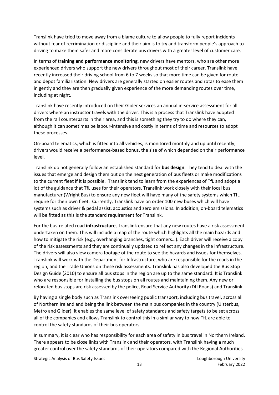Translink have tried to move away from a blame culture to allow people to fully report incidents without fear of recrimination or discipline and their aim is to try and transform people's approach to driving to make them safer and more considerate bus drivers with a greater level of customer care.

In terms of **training and performance monitoring**, new drivers have mentors, who are other more experienced drivers who support the new drivers throughout most of their career. Translink have recently increased their driving school from 6 to 7 weeks so that more time can be given for route and depot familiarisation. New drivers are generally started on easier routes and rotas to ease them in gently and they are then gradually given experience of the more demanding routes over time, including at night.

Translink have recently introduced on their Glider services an annual in-service assessment for all drivers where an instructor travels with the driver. This is a process that Translink have adopted from the rail counterparts in their area, and this is something they try to do where they can, although it can sometimes be labour-intensive and costly in terms of time and resources to adopt these processes.

On-board telematics, which is fitted into all vehicles, is monitored monthly and up until recently, drivers would receive a performance-based bonus, the size of which depended on their performance level.

Translink do not generally follow an established standard for **bus design**. They tend to deal with the issues that emerge and design them out on the next generation of bus fleets or make modifications to the current fleet if it is possible. Translink tend to learn from the experiences of TfL and adopt a lot of the guidance that TfL uses for their operators. Translink work closely with their local bus manufacturer (Wright Bus) to ensure any new fleet will have many of the safety systems which TfL require for their own fleet. Currently, Translink have on order 100 new buses which will have systems such as driver & pedal assist, acoustics and zero emissions. In addition, on-board telematics will be fitted as this is the standard requirement for Translink.

For the bus-related road **infrastructure**, Translink ensure that any new routes have a risk assessment undertaken on them. This will include a map of the route which highlights all the main hazards and how to mitigate the risk (e.g., overhanging branches, tight corners…). Each driver will receive a copy of the risk assessments and they are continually updated to reflect any changes in the infrastructure. The drivers will also view camera footage of the route to see the hazards and issues for themselves. Translink will work with the Department for Infrastructure, who are responsible for the roads in the region, and the Trade Unions on these risk assessments. Translink has also developed the Bus Stop Design Guide (2010) to ensure all bus stops in the region are up to the same standard. It is Translink who are responsible for installing the bus stops on all routes and maintaining them. Any new or relocated bus stops are risk assessed by the police, Road Service Authority (DfI Roads) and Translink.

By having a single body such as Translink overseeing public transport, including bus travel, across all of Northern Ireland and being the link between the main bus companies in the country (Ulsterbus, Metro and Glider), it enables the same level of safety standards and safety targets to be set across all of the companies and allows Translink to control this in a similar way to how TfL are able to control the safety standards of their bus operators.

In summary, it is clear who has responsibility for each area of safety in bus travel in Northern Ireland. There appears to be close links with Translink and their operators, with Translink having a much greater control over the safety standards of their operators compared with the Regional Authorities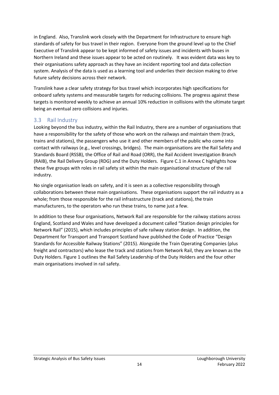in England. Also, Translink work closely with the Department for Infrastructure to ensure high standards of safety for bus travel in their region. Everyone from the ground level up to the Chief Executive of Translink appear to be kept informed of safety issues and incidents with buses in Northern Ireland and these issues appear to be acted on routinely. It was evident data was key to their organisations safety approach as they have an incident reporting tool and data collection system. Analysis of the data is used as a learning tool and underlies their decision making to drive future safety decisions across their network.

Translink have a clear safety strategy for bus travel which incorporates high specifications for onboard safety systems and measurable targets for reducing collisions. The progress against these targets is monitored weekly to achieve an annual 10% reduction in collisions with the ultimate target being an eventual zero collisions and injuries.

#### <span id="page-14-0"></span>3.3 Rail Industry

Looking beyond the bus industry, within the Rail Industry, there are a number of organisations that have a responsibility for the safety of those who work on the railways and maintain them (track, trains and stations), the passengers who use it and other members of the public who come into contact with railways (e.g., level crossings, bridges). The main organisations are the Rail Safety and Standards Board (RSSB), the Office of Rail and Road (ORR), the Rail Accident Investigation Branch (RAIB), the Rail Delivery Group (RDG) and the Duty Holders. Figure C.1 in Annex C highlights how these five groups with roles in rail safety sit within the main organisational structure of the rail industry.

No single organisation leads on safety, and it is seen as a collective responsibility through collaborations between these main organisations. These organisations support the rail industry as a whole; from those responsible for the rail infrastructure (track and stations), the train manufacturers, to the operators who run these trains, to name just a few.

In addition to these four organisations, Network Rail are responsible for the railway stations across England, Scotland and Wales and have developed a document called "Station design principles for Network Rail" (2015), which includes principles of safe railway station design. In addition, the Department for Transport and Transport Scotland have published the Code of Practice "Design Standards for Accessible Railway Stations" (2015). Alongside the Train Operating Companies (plus freight and contractors) who lease the track and stations from Network Rail, they are known as the Duty Holders. Figure 1 outlines the Rail Safety Leadership of the Duty Holders and the four other main organisations involved in rail safety.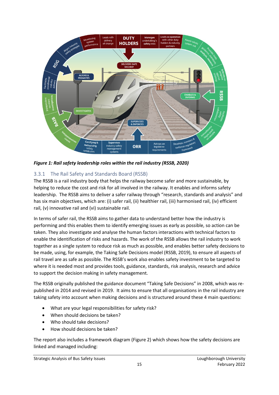

*Figure 1: Rail safety leadership roles within the rail industry (RSSB, 2020)*

## <span id="page-15-0"></span>3.3.1 The Rail Safety and Standards Board (RSSB)

The RSSB is a rail industry body that helps the railway become safer and more sustainable, by helping to reduce the cost and risk for all involved in the railway. It enables and informs safety leadership. The RSSB aims to deliver a safer railway through "research, standards and analysis" and has six main objectives, which are: (i) safer rail, (ii) healthier rail, (iii) harmonised rail, (iv) efficient rail, (v) innovative rail and (vi) sustainable rail.

In terms of safer rail, the RSSB aims to gather data to understand better how the industry is performing and this enables them to identify emerging issues as early as possible, so action can be taken. They also investigate and analyse the human factors interactions with technical factors to enable the identification of risks and hazards. The work of the RSSB allows the rail industry to work together as a single system to reduce risk as much as possible, and enables better safety decisions to be made, using, for example, the Taking Safe Decisions model (RSSB, 2019), to ensure all aspects of rail travel are as safe as possible. The RSSB's work also enables safety investment to be targeted to where it is needed most and provides tools, guidance, standards, risk analysis, research and advice to support the decision making in safety management.

The RSSB originally published the guidance document "Taking Safe Decisions" in 2008, which was republished in 2014 and revised in 2019. It aims to ensure that all organisations in the rail industry are taking safety into account when making decisions and is structured around these 4 main questions:

- What are your legal responsibilities for safety risk?
- When should decisions be taken?
- Who should take decisions?
- How should decisions be taken?

The report also includes a framework diagram (Figure 2) which shows how the safety decisions are linked and managed including: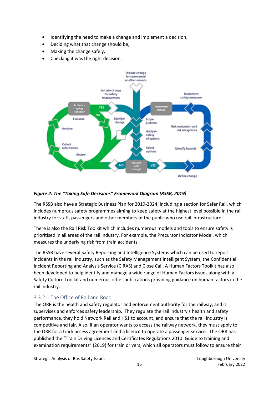- Identifying the need to make a change and implement a decision,
- Deciding what that change should be,
- Making the change safely,
- Checking it was the right decision.



## *Figure 2: The "Taking Safe Decisions" Framework Diagram (RSSB, 2019)*

The RSSB also have a Strategic Business Plan for 2019-2024, including a section for Safer Rail, which includes numerous safety programmes aiming to keep safety at the highest level possible in the rail industry for staff, passengers and other members of the public who use rail infrastructure.

There is also the Rail Risk Toolkit which includes numerous models and tools to ensure safety is prioritised in all areas of the rail industry. For example, the Precursor Indicator Model, which measures the underlying risk from train accidents.

The RSSB have several Safety Reporting and Intelligence Systems which can be used to report incidents in the rail industry, such as the Safety Management Intelligent System, the Confidential Incident Reporting and Analysis Service (CIRAS) and Close Call. A Human Factors Toolkit has also been developed to help identify and manage a wide range of Human Factors issues along with a Safety Culture Toolkit and numerous other publications providing guidance on human factors in the rail industry.

## <span id="page-16-0"></span>3.3.2 The Office of Rail and Road

The ORR is the health and safety regulator and enforcement authority for the railway, and it supervises and enforces safety leadership. They regulate the rail industry's health and safety performance, they hold Network Rail and HS1 to account, and ensure that the rail industry is competitive and fair. Also, if an operator wants to access the railway network, they must apply to the ORR for a track access agreement and a licence to operate a passenger service. The ORR has published the "Train Driving Licences and Certificates Regulations 2010: Guide to training and examination requirements" (2019) for train drivers, which all operators must follow to ensure their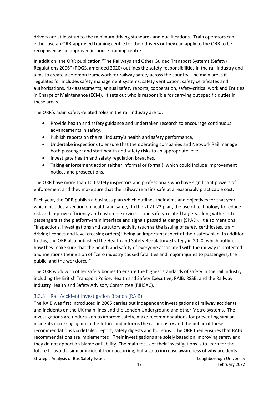drivers are at least up to the minimum driving standards and qualifications. Train operators can either use an ORR-approved training centre for their drivers or they can apply to the ORR to be recognised as an approved in-house training centre.

In addition, the ORR publication "The Railways and Other Guided Transport Systems (Safety) Regulations 2006" (ROGS, amended 2020) outlines the safety responsibilities in the rail industry and aims to create a common framework for railway safety across the country. The main areas it regulates for includes safety management systems, safety verification, safety certificates and authorisations, risk assessments, annual safety reports, cooperation, safety-critical work and Entities in Charge of Maintenance (ECM). It sets out who is responsible for carrying out specific duties in these areas.

The ORR's main safety-related roles in the rail industry are to:

- Provide health and safety guidance and undertaken research to encourage continuous advancements in safety,
- Publish reports on the rail industry's health and safety performance,
- Undertake inspections to ensure that the operating companies and Network Rail manage both passenger and staff health and safety risks to an appropriate level,
- Investigate health and safety regulation breaches,
- Taking enforcement action (either informal or formal), which could include improvement notices and prosecutions.

The ORR have more than 100 safety inspectors and professionals who have significant powers of enforcement and they make sure that the railway remains safe at a reasonably practicable cost.

Each year, the ORR publish a business plan which outlines their aims and objectives for that year, which includes a section on health and safety. In the 2021-22 plan, the use of technology to reduce risk and improve efficiency and customer service, is one safety-related targets, along with risk to passengers at the platform-train interface and signals passed at danger (SPAD). It also mentions "inspections, investigations and statutory activity (such as the issuing of safety certificates, train driving licences and level crossing orders)" being an important aspect of their safety plan. In addition to this, the ORR also published the Health and Safety Regulatory Strategy in 2020, which outlines how they make sure that the health and safety of everyone associated with the railway is protected and mentions their vision of "zero industry caused fatalities and major injuries to passengers, the public, and the workforce."

The ORR work with other safety bodies to ensure the highest standards of safety in the rail industry, including the British Transport Police, Health and Safety Executive, RAIB, RSSB, and the Railway Industry Health and Safety Advisory Committee (RIHSAC).

#### <span id="page-17-0"></span>3.3.3 Rail Accident Investigation Branch (RAIB)

The RAIB was first introduced in 2005 carries out independent investigations of railway accidents and incidents on the UK main lines and the London Underground and other Metro systems. The investigations are undertaken to improve safety, make recommendations for preventing similar incidents occurring again in the future and informs the rail industry and the public of these recommendations via detailed report, safety digests and bulletins. The ORR then ensures that RAIB recommendations are implemented. Their investigations are solely based on improving safety and they do not apportion blame or liability. The main focus of their investigations is to learn for the future to avoid a similar incident from occurring, but also to increase awareness of why accidents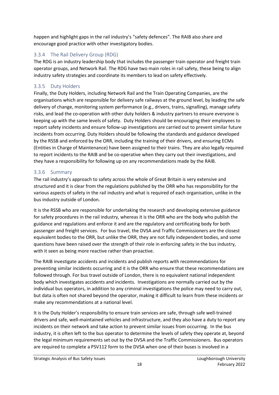happen and highlight gaps in the rail industry's "safety defences". The RAIB also share and encourage good practice with other investigatory bodies.

## <span id="page-18-0"></span>3.3.4 The Rail Delivery Group (RDG)

The RDG is an industry leadership body that includes the passenger train operator and freight train operator groups, and Network Rail. The RDG have two main roles in rail safety, these being to align industry safety strategies and coordinate its members to lead on safety effectively.

## <span id="page-18-1"></span>3.3.5 Duty Holders

Finally, the Duty Holders, including Network Rail and the Train Operating Companies, are the organisations which are responsible for delivery safe railways at the ground level, by leading the safe delivery of change, monitoring system performance (e.g., drivers, trains, signalling), manage safety risks, and lead the co-operation with other duty holders & industry partners to ensure everyone is keeping up with the same levels of safety. Duty Holders should be encouraging their employees to report safety incidents and ensure follow-up investigations are carried out to prevent similar future incidents from occurring. Duty Holders should be following the standards and guidance developed by the RSSB and enforced by the ORR, including the training of their drivers, and ensuring ECMs (Entities in Charge of Maintenance) have been assigned to their trains. They are also legally required to report incidents to the RAIB and be co-operative when they carry out their investigations, and they have a responsibility for following up on any recommendations made by the RAIB.

## <span id="page-18-2"></span>3.3.6 Summary

The rail industry's approach to safety across the whole of Great Britain is very extensive and structured and it is clear from the regulations published by the ORR who has responsibility for the various aspects of safety in the rail industry and what is required of each organisation, unlike in the bus industry outside of London.

It is the RSSB who are responsible for undertaking the research and developing extensive guidance for safety procedures in the rail industry, whereas it is the ORR who are the body who publish the guidance and regulations and enforce it and are the regulatory and certificating body for both passenger and freight services. For bus travel, the DVSA and Traffic Commissioners are the closest equivalent bodies to the ORR, but unlike the ORR, they are not fully independent bodies, and some questions have been raised over the strength of their role in enforcing safety in the bus industry, with it seen as being more reactive rather than proactive.

The RAIB investigate accidents and incidents and publish reports with recommendations for preventing similar incidents occurring and it is the ORR who ensure that these recommendations are followed through. For bus travel outside of London, there is no equivalent national independent body which investigates accidents and incidents. Investigations are normally carried out by the individual bus operators, in addition to any criminal investigations the police may need to carry out, but data is often not shared beyond the operator, making it difficult to learn from these incidents or make any recommendations at a national level.

It is the Duty Holder's responsibility to ensure train services are safe, through safe well-trained drivers and safe, well-maintained vehicles and infrastructure, and they also have a duty to report any incidents on their network and take action to prevent similar issues from occurring. In the bus industry, it is often left to the bus operator to determine the levels of safety they operate at, beyond the legal minimum requirements set out by the DVSA and the Traffic Commissioners. Bus operators are required to complete a PSV112 form to the DVSA when one of their buses is involved in a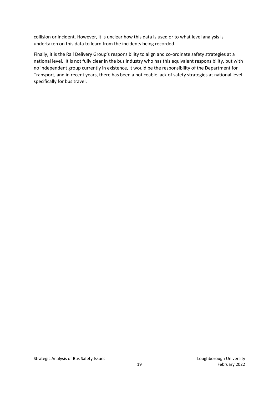collision or incident. However, it is unclear how this data is used or to what level analysis is undertaken on this data to learn from the incidents being recorded.

Finally, it is the Rail Delivery Group's responsibility to align and co-ordinate safety strategies at a national level. It is not fully clear in the bus industry who has this equivalent responsibility, but with no independent group currently in existence, it would be the responsibility of the Department for Transport, and in recent years, there has been a noticeable lack of safety strategies at national level specifically for bus travel.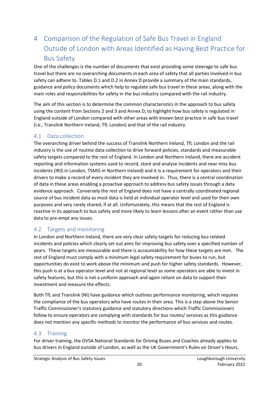# <span id="page-20-0"></span>4 Comparison of the Regulation of Safe Bus Travel in England Outside of London with Areas Identified as Having Best Practice for Bus Safety

One of the challenges is the number of documents that exist providing some steerage to safe bus travel but there are no overarching documents in each area of safety that all parties involved in bus safety can adhere to. Tables D.1 and D.2 in Annex D provide a summary of the main standards, guidance and policy documents which help to regulate safe bus travel in these areas, along with the main roles and responsibilities for safety in the bus industry compared with the rail industry.

The aim of this section is to determine the common characteristics in the approach to bus safety using the content from Sections 2 and 3 and Annex D, to highlight how bus safety is regulated in England outside of London compared with other areas with known best practice in safe bus travel (i.e., Translink Northern Ireland, TfL London) and that of the rail industry.

#### <span id="page-20-1"></span>4.1 Data collection

The overarching driver behind the success of Translink Northern Ireland, TfL London and the rail industry is the use of routine data collection to drive forward policies, standards and measurable safety targets compared to the rest of England. In London and Northern Ireland, there are accident reporting and information systems used to record, store and analyse incidents and near miss bus incidents (IRIS in London, TSMIS in Northern Ireland) and it is a requirement for operators and their drivers to make a record of every incident they are involved in. Thus, there is a central coordination of data in these areas enabling a proactive approach to address bus safety issues through a data evidence approach. Conversely the rest of England does not have a centrally coordinated regional source of bus incident data as most data is held at individual operator level and used for their own purposes and very rarely shared, if at all. Unfortunately, this means that the rest of England is reactive in its approach to bus safety and more likely to learn lessons after an event rather than use data to pre-empt any issues.

## <span id="page-20-2"></span>4.2 Targets and monitoring

In London and Northern Ireland, there are very clear safety targets for reducing bus-related incidents and policies which clearly set out aims for improving bus safety over a specified number of years. These targets are measurable and there is accountability for how these targets are met. The rest of England must comply with a minimum legal safety requirement for buses to run, but opportunities do exist to work above the minimum and push for higher safety standards. However, this push is at a bus operator level and not at regional level as some operators are able to invest in safety features, but this is not a uniform approach and again reliant on data to support their investment and measure the effects.

Both TfL and Translink (NI) have guidance which outlines performance monitoring, which requires the compliance of the bus operators who have routes in their area. This is a step above the Senior Traffic Commissioner's statutory guidance and statutory directions which Traffic Commissioners follow to ensure operators are complying with standards for bus routes/ services as this guidance does not mention any specific methods to monitor the performance of bus services and routes.

#### <span id="page-20-3"></span>4.3 Training

For driver training, the DVSA National Standards for Driving Buses and Coaches already applies to bus drivers in England outside of London, as well as the UK Government's Rules on Driver's Hours,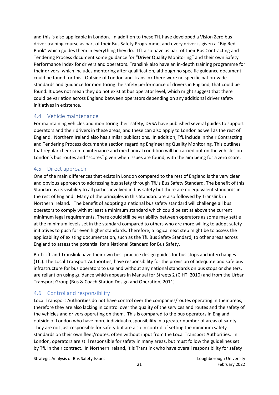and this is also applicable in London. In addition to these TfL have developed a Vision Zero bus driver training course as part of their Bus Safety Programme, and every driver is given a "Big Red Book" which guides them in everything they do. TfL also have as part of their Bus Contracting and Tendering Process document some guidance for "Driver Quality Monitoring" and their own Safety Performance Index for drivers and operators. Translink also have an in-depth training programme for their drivers, which includes mentoring after qualification, although no specific guidance document could be found for this. Outside of London and Translink there were no specific nation-wide standards and guidance for monitoring the safety performance of drivers in England, that could be found. It does not mean they do not exist at bus operator level, which might suggest that there could be variation across England between operators depending on any additional driver safety initiatives in existence.

## <span id="page-21-0"></span>4.4 Vehicle maintenance

For maintaining vehicles and monitoring their safety, DVSA have published several guides to support operators and their drivers in these areas, and these can also apply to London as well as the rest of England. Northern Ireland also has similar publications. In addition, TfL include in their Contracting and Tendering Process document a section regarding Engineering Quality Monitoring. This outlines that regular checks on maintenance and mechanical condition will be carried out on the vehicles on London's bus routes and "scores" given when issues are found, with the aim being for a zero score.

## <span id="page-21-1"></span>4.5 Direct approach

One of the main differences that exists in London compared to the rest of England is the very clear and obvious approach to addressing bus safety through TfL's Bus Safety Standard. The benefit of this Standard is its visibility to all parties involved in bus safety but there are no equivalent standards in the rest of England Many of the principles in this Standard are also followed by Translink in Northern Ireland. The benefit of adopting a national bus safety standard will challenge all bus operators to comply with at least a minimum standard which could be set at above the current minimum legal requirements. There could still be variability between operators as some may settle at the minimum levels set in the standard compared to others who are more willing to adopt safety initiatives to push for even higher standards. Therefore, a logical next step might be to assess the applicability of existing documentation, such as the TfL Bus Safety Standard, to other areas across England to assess the potential for a National Standard for Bus Safety.

Both TfL and Translink have their own best practice design guides for bus stops and interchanges (TfL). The Local Transport Authorities, have responsibility for the provision of adequate and safe bus infrastructure for bus operators to use and without any national standards on bus stops or shelters, are reliant on using guidance which appears in Manual for Streets 2 (CIHT, 2010) and from the Urban Transport Group (Bus & Coach Station Design and Operation, 2011).

## <span id="page-21-2"></span>4.6 Control and responsibility

Local Transport Authorities do not have control over the companies/routes operating in their areas, therefore they are also lacking in control over the quality of the services and routes and the safety of the vehicles and drivers operating on them. This is compared to the bus operators in England outside of London who have more individual responsibility in a greater number of areas of safety. They are not just responsible for safety but are also in control of setting the minimum safety standards on their own fleet/routes, often without input from the Local Transport Authorities. In London, operators are still responsible for safety in many areas, but must follow the guidelines set by TfL in their contract. In Northern Ireland, it is Translink who have overall responsibility for safety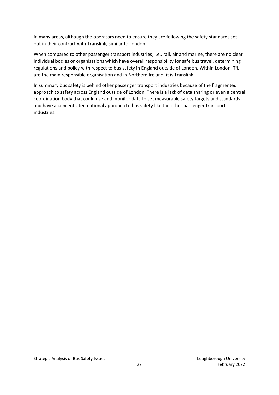in many areas, although the operators need to ensure they are following the safety standards set out in their contract with Translink, similar to London.

When compared to other passenger transport industries, i.e., rail, air and marine, there are no clear individual bodies or organisations which have overall responsibility for safe bus travel, determining regulations and policy with respect to bus safety in England outside of London. Within London, TfL are the main responsible organisation and in Northern Ireland, it is Translink.

In summary bus safety is behind other passenger transport industries because of the fragmented approach to safety across England outside of London. There is a lack of data sharing or even a central coordination body that could use and monitor data to set measurable safety targets and standards and have a concentrated national approach to bus safety like the other passenger transport industries.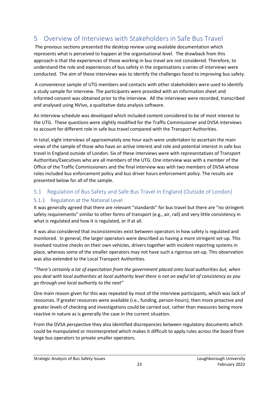# <span id="page-23-0"></span>5 Overview of Interviews with Stakeholders in Safe Bus Travel

The previous sections presented the desktop review using available documentation which represents what is perceived to happen at the organisational level. The drawback from this approach is that the experiences of those working in bus travel are not considered. Therefore, to understand the role and experiences of bus safety in the organisations a series of interviews were conducted. The aim of these interviews was to identify the challenges faced to improving bus safety.

A convenience sample of UTG members and contacts with other stakeholders were used to identify a study sample for interview. The participants were provided with an information sheet and informed consent was obtained prior to the interview. All the interviews were recorded, transcribed and analysed using NVivo, a qualitative data analysis software.

An interview schedule was developed which included content considered to be of most interest to the UTG. These questions were slightly modified for the Traffic Commissioner and DVSA interviews to account for different role in safe bus travel compared with the Transport Authorities.

In total, eight interviews of approximately one hour each were undertaken to ascertain the main views of the sample of those who have an active interest and role and potential interest in safe bus travel in England outside of London. Six of these interviews were with representatives of Transport Authorities/Executives who are all members of the UTG. One interview was with a member of the Office of the Traffic Commissioners and the final interview was with two members of DVSA whose roles included bus enforcement policy and bus driver hours enforcement policy. The results are presented below for all of the sample.

## <span id="page-23-1"></span>5.1 Regulation of Bus Safety and Safe Bus Travel in England (Outside of London)

#### <span id="page-23-2"></span>5.1.1 Regulation at the National Level

It was generally agreed that there are relevant "standards" for bus travel but there are "no stringent safety requirements" similar to other forms of transport (e.g., air, rail) and very little consistency in what is regulated and how it is regulated, or if at all.

It was also considered that inconsistencies exist between operators in how safety is regulated and monitored. In general, the larger operators were described as having a more stringent set-up. This involved routine checks on their own vehicles, drivers together with incident reporting systems in place, whereas some of the smaller operators may not have such a rigorous set-up. This observation was also extended to the Local Transport Authorities.

#### *"There's certainly a lot of expectation from the government placed onto local authorities but, when you deal with local authorities at local authority level there is not an awful lot of consistency as you go through one local authority to the next"*

One main reason given for this was repeated by most of the interview participants, which was lack of resources. If greater resources were available (i.e., funding, person-hours), then more proactive and greater levels of checking and investigations could be carried out, rather than measures being more reactive in nature as is generally the case in the current situation.

From the DVSA perspective they also identified discrepancies between regulatory documents which could be manipulated or misinterpreted which makes it difficult to apply rules across the board from large bus operators to private smaller operators.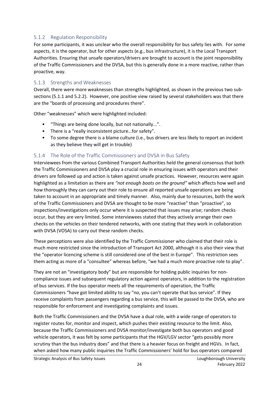#### <span id="page-24-0"></span>5.1.2 Regulation Responsibility

For some participants, it was unclear who the overall responsibility for bus safety lies with. For some aspects, it is the operator, but for other aspects (e.g., bus infrastructure), it is the Local Transport Authorities. Ensuring that unsafe operators/drivers are brought to account is the joint responsibility of the Traffic Commissioners and the DVSA, but this is generally done in a more reactive, rather than proactive, way.

#### <span id="page-24-1"></span>5.1.3 Strengths and Weaknesses

Overall, there were more weaknesses than strengths highlighted, as shown in the previous two subsections (5.1.1 and 5.2.2). However, one positive view raised by several stakeholders was that there are the "boards of processing and procedures there".

Other "weaknesses" which were highlighted included:

- "Things are being done locally, but not nationally...".
- There is a "really inconsistent picture…for safety".
- To some degree there is a blame culture (i.e., bus drivers are less likely to report an incident as they believe they will get in trouble)

#### <span id="page-24-2"></span>5.1.4 The Role of the Traffic Commissioners and DVSA in Bus Safety

Interviewees from the various Combined Transport Authorities held the general consensus that both the Traffic Commissioners and DVSA play a crucial role in ensuring issues with operators and their drivers are followed up and action is taken against unsafe practices. However, resources were again highlighted as a limitation as there are *"not enough boots on the ground"* which affects how well and how thoroughly they can carry out their role to ensure all reported unsafe operations are being taken to account in an appropriate and timely manner. Also, mainly due to resources, both the work of the Traffic Commissioners and DVSA are thought to be more "reactive" than "proactive", so inspections/investigations only occur where it is suspected that issues may arise; random checks occur, but they are very limited. Some interviewees stated that they actively arrange their own checks on the vehicles on their tendered networks, with one stating that they work in collaboration with DVSA (VOSA) to carry out these random checks.

These perceptions were also identified by the Traffic Commissioner who claimed that their role is much more restricted since the introduction of Transport Act 2000, although it is also their view that the "operator licencing scheme is still considered one of the best in Europe". This restriction sees them acting as more of a "consultee" whereas before, "we had a much more proactive role to play".

They are not an "investigatory body" but are responsible for holding public inquiries for noncompliance issues and subsequent regulatory action against operators, in addition to the registration of bus services. If the bus operator meets all the requirements of operation, the Traffic Commissioners "have got limited ability to say "no, you can't operate that bus service". If they receive complaints from passengers regarding a bus service, this will be passed to the DVSA, who are responsible for enforcement and investigating complaints and issues.

Both the Traffic Commissioners and the DVSA have a dual role, with a wide range of operators to register routes for, monitor and inspect, which pushes their existing resource to the limit. Also, because the Traffic Commissioners and DVSA monitor/investigate both bus operators and good vehicle operators, it was felt by some participants that the HGV/LGV sector "gets possibly more scrutiny than the bus industry does" and that there is a heavier focus on freight and HGVs. In fact, when asked how many public inquiries the Traffic Commissioners' hold for bus operators compared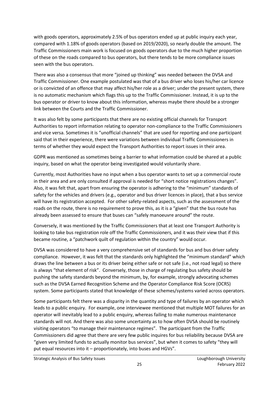with goods operators, approximately 2.5% of bus operators ended up at public inquiry each year, compared with 1.18% of goods operators (based on 2019/2020), so nearly double the amount. The Traffic Commissioners main work is focused on goods operators due to the much higher proportion of these on the roads compared to bus operators, but there tends to be more compliance issues seen with the bus operators.

There was also a consensus that more "joined up thinking" was needed between the DVSA and Traffic Commissioner. One example postulated was that of a bus driver who loses his/her car licence or is convicted of an offence that may affect his/her role as a driver; under the present system, there is no automatic mechanism which flags this up to the Traffic Commissioner. Instead, it is up to the bus operator or driver to know about this information, whereas maybe there should be a stronger link between the Courts and the Traffic Commissioner.

It was also felt by some participants that there are no existing official channels for Transport Authorities to report information relating to operator non-compliance to the Traffic Commissioners and vice versa. Sometimes it is "unofficial channels" that are used for reporting and one participant said that in their experience, there were variations between individual Traffic Commissioners in terms of whether they would expect the Transport Authorities to report issues in their area.

GDPR was mentioned as sometimes being a barrier to what information could be shared at a public inquiry, based on what the operator being investigated would voluntarily share.

Currently, most Authorities have no input when a bus operator wants to set up a commercial route in their area and are only consulted if approval is needed for "short notice registrations changes". Also, it was felt that, apart from ensuring the operator is adhering to the "minimum" standards of safety for the vehicles and drivers (e.g., operator and bus driver licences in place), that a bus service will have its registration accepted. For other safety-related aspects, such as the assessment of the roads on the route, there is no requirement to prove this, as it is a "given" that the bus route has already been assessed to ensure that buses can "safely manoeuvre around" the route.

Conversely, it was mentioned by the Traffic Commissioners that at least one Transport Authority is looking to take bus registration role off the Traffic Commissioners, and it was their view that if this became routine, a "patchwork quilt of regulation within the country" would occur.

DVSA was considered to have a very comprehensive set of standards for bus and bus driver safety compliance. However, it was felt that the standards only highlighted the "minimum standard" which draws the line between a bus or its driver being either safe or not safe (i.e., not road legal) so there is always "that element of risk". Conversely, those in charge of regulating bus safety should be pushing the safety standards beyond the minimum, by, for example, strongly advocating schemes such as the DVSA Earned Recognition Scheme and the Operator Compliance Risk Score (OCRS) system. Some participants stated that knowledge of these schemes/systems varied across operators.

Some participants felt there was a disparity in the quantity and type of failures by an operator which leads to a public enquiry. For example, one interviewee mentioned that multiple MOT failures for an operator will inevitably lead to a public enquiry, whereas failing to make numerous maintenance standards will not. And there was also some uncertainty as to how often DVSA should be routinely visiting operators "to manage their maintenance regimes". The participant from the Traffic Commissioners did agree that there are very few public inquires for bus reliability because DVSA are "given very limited funds to actually monitor bus services", but when it comes to safety "they will put equal resources into it – proportionately, into buses and HGVs".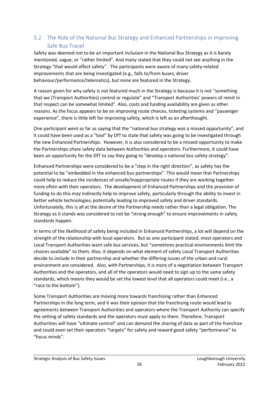## <span id="page-26-0"></span>5.2 The Role of the National Bus Strategy and Enhanced Partnerships in Improving Safe Bus Travel

Safety was deemed not to be an important inclusion in the National Bus Strategy as it is barely mentioned, vague, or "rather limited". And many stated that they could not see anything in the Strategy "that would affect safety". The participants were aware of many safety-related improvements that are being investigated (e.g., falls to/from buses, driver behaviour/performance/telematics), but none are featured in the Strategy.

A reason given for why safety is not featured much in the Strategy is because it is not "something that we (Transport Authorities) control or regulate" and "Transport Authorities' powers of remit in that respect can be somewhat limited". Also, costs and funding availability are given as other reasons. As the focus appears to be on improving route choices, ticketing systems and "passenger experience", there is little left for improving safety, which is left as an afterthought.

One participant went as far as saying that the "national bus strategy was a missed opportunity", and it could have been used as a "tool" by DfT to state that safety was going to be investigated through the new Enhanced Partnerships. However, it is also considered to be a missed opportunity to make the Partnerships share safety data between Authorities and operators. Furthermore, it could have been an opportunity for the DfT to say they going to "develop a national bus safety strategy".

Enhanced Partnerships were considered to be a "step in the right direction", as safety has the potential to be "embedded in the enhanced bus partnerships". This would mean that Partnerships could help to reduce the incidences of unsafe/inappropriate routes if they are working together more often with their operators. The development of Enhanced Partnerships and the provision of funding to do this may indirectly help to improve safety, particularly through the ability to invest in better vehicle technologies, potentially leading to improved safety and driver standards. Unfortunately, this is all at the desire of the Partnership needs rather than a legal obligation. The Strategy as it stands was considered to not be "strong enough" to ensure improvements in safety standards happen.

In terms of the likelihood of safety being included in Enhanced Partnerships, a lot will depend on the strength of the relationship with local operators. But as one participant stated, most operators and Local Transport Authorities want safe bus services, but "sometimes practical environments limit the choices available" to them. Also, it depends on what element of safety Local Transport Authorities decide to include in their partnership and whether the differing issues of the urban and rural environment are considered. Also, with Partnerships, it is more of a negotiation between Transport Authorities and the operators, and all of the operators would need to sign up to the same safety standards, which means they would be set the lowest level that all operators could meet (i.e., a "race to the bottom").

Some Transport Authorities are moving more towards franchising rather than Enhanced Partnerships in the long term, and it was their opinion that the franchising route would lead to agreements between Transport Authorities and operators where the Transport Authority can specify the setting of safety standards and the operators must apply to them. Therefore, Transport Authorities will have "ultimate control" and can demand the sharing of data as part of the franchise and could even set their operators "targets" for safety and reward good safety "performance" to "focus minds".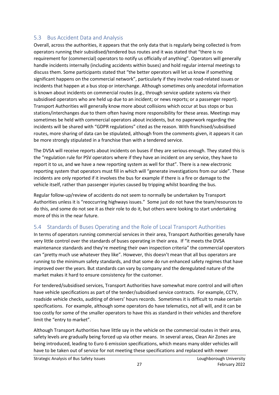#### <span id="page-27-0"></span>5.3 Bus Accident Data and Analysis

Overall, across the authorities, it appears that the only data that is regularly being collected is from operators running their subsidised/tendered bus routes and it was stated that "there is no requirement for (commercial) operators to notify us officially of anything". Operators will generally handle incidents internally (including accidents within buses) and hold regular internal meetings to discuss them. Some participants stated that "the better operators will let us know if something significant happens on the commercial network", particularly if they involve road-related issues or incidents that happen at a bus stop or interchange. Although sometimes only anecdotal information is known about incidents on commercial routes (e.g., through service update systems via their subsidised operators who are held up due to an incident; or news reports; or a passenger report). Transport Authorities will generally know more about collisions which occur at bus stops or bus stations/interchanges due to them often having more responsibility for these areas. Meetings may sometimes be held with commercial operators about incidents, but no paperwork regarding the incidents will be shared with "GDPR regulations" cited as the reason. With franchised/subsidised routes, more sharing of data can be stipulated, although from the comments given, it appears it can be more strongly stipulated in a franchise than with a tendered service.

The DVSA will receive reports about incidents on buses if they are serious enough. They stated this is the "regulation rule for PSV operators where if they have an incident on any service, they have to report it to us, and we have a new reporting system as well for that". There is a new electronic reporting system that operators must fill in which will "generate investigations from our side". These incidents are only reported if it involves the bus for example if there is a fire or damage to the vehicle itself, rather than passenger injuries caused by tripping whilst boarding the bus.

Regular follow-up/review of accidents do not seem to normally be undertaken by Transport Authorities unless it is "reoccurring highways issues." Some just do not have the team/resources to do this, and some do not see it as their role to do it, but others were looking to start undertaking more of this in the near future.

#### <span id="page-27-1"></span>5.4 Standards of Buses Operating and the Role of Local Transport Authorities

In terms of operators running commercial services in their area, Transport Authorities generally have very little control over the standards of buses operating in their area. If "it meets the DVSA maintenance standards and they're meeting their own inspection criteria" the commercial operators can "pretty much use whatever they like". However, this doesn't mean that all bus operators are running to the minimum safety standards, and that some do run enhanced safety regimes that have improved over the years. But standards can vary by company and the deregulated nature of the market makes it hard to ensure consistency for the customer.

For tendered/subsidised services, Transport Authorities have somewhat more control and will often have vehicle specifications as part of the tender/subsidised service contracts. For example, CCTV, roadside vehicle checks, auditing of drivers' hours records. Sometimes it is difficult to make certain specifications. For example, although some operators do have telematics, not all will, and it can be too costly for some of the smaller operators to have this as standard in their vehicles and therefore limit the "entry to market".

Although Transport Authorities have little say in the vehicle on the commercial routes in their area, safety levels are gradually being forced up via other means. In several areas, Clean Air Zones are being introduced, leading to Euro 6 emission specifications, which means many older vehicles will have to be taken out of service for not meeting these specifications and replaced with newer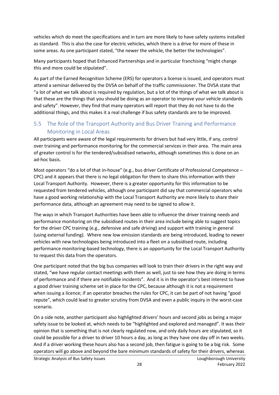vehicles which do meet the specifications and in turn are more likely to have safety systems installed as standard. This is also the case for electric vehicles, which there is a drive for more of these in some areas. As one participant stated, "the newer the vehicle, the better the technologies".

Many participants hoped that Enhanced Partnerships and in particular franchising "might change this and more could be stipulated".

As part of the Earned Recognition Scheme (ERS) for operators a license is issued, and operators must attend a seminar delivered by the DVSA on behalf of the traffic commissioner. The DVSA state that "a lot of what we talk about is required by regulation, but a lot of the things of what we talk about is that these are the things that you should be doing as an operator to improve your vehicle standards and safety". However, they find that many operators will report that they do not have to do the additional things, and this makes it a real challenge if bus safety standards are to be improved.

## <span id="page-28-0"></span>5.5 The Role of the Transport Authority and Bus Driver Training and Performance Monitoring in Local Areas

All participants were aware of the legal requirements for drivers but had very little, if any, control over training and performance monitoring for the commercial services in their area. The main area of greater control is for the tendered/subsidised networks, although sometimes this is done on an ad-hoc basis.

Most operators "do a lot of that in-house" (e.g., bus driver Certificate of Professional Competence – CPC) and it appears that there is no legal obligation for them to share this information with their Local Transport Authority. However, there is a greater opportunity for this information to be requested from tendered vehicles, although one participant did say that commercial operators who have a good working relationship with the Local Transport Authority are more likely to share their performance data, although an agreement may need to be signed to allow it.

The ways in which Transport Authorities have been able to influence the driver training needs and performance monitoring on the subsidised routes in their area include being able to suggest topics for the driver CPC training (e.g., defensive and safe driving) and support with training in general (using external funding). Where new low emission standards are being introduced, leading to newer vehicles with new technologies being introduced into a fleet on a subsidised route, including performance monitoring-based technology, there is an opportunity for the Local Transport Authority to request this data from the operators.

One participant noted that the big bus companies will look to train their drivers in the right way and stated, "we have regular contact meetings with them as well, just to see how they are doing in terms of performance and if there are notifiable incidents". And it is in the operator's best interest to have a good driver training scheme set in place for the CPC, because although it is not a requirement when issuing a licence; if an operator breaches the rules for CPC, it can be part of not having "good repute", which could lead to greater scrutiny from DVSA and even a public inquiry in the worst-case scenario.

On a side note, another participant also highlighted drivers' hours and second jobs as being a major safety issue to be looked at, which needs to be "highlighted and explored and managed". It was their opinion that is something that is not clearly regulated now, and only daily hours are stipulated, so it could be possible for a driver to driver 10 hours a day, as long as they have one day off in two weeks. And if a driver working these hours also has a second job, then fatigue is going to be a big risk. Some operators will go above and beyond the bare minimum standards of safety for their drivers, whereas

Strategic Analysis of Bus Safety Issues Loughborough University Loughborough University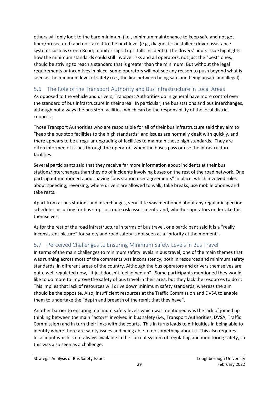others will only look to the bare minimum (i.e., minimum maintenance to keep safe and not get fined/prosecuted) and not take it to the next level (e.g., diagnostics installed; driver assistance systems such as Green Road; monitor slips, trips, falls incidents). The drivers' hours issue highlights how the minimum standards could still involve risks and all operators, not just the "best" ones, should be striving to reach a standard that is greater than the minimum. But without the legal requirements or incentives in place, some operators will not see any reason to push beyond what is seen as the minimum level of safety (i.e., the line between being safe and being unsafe and illegal).

## <span id="page-29-0"></span>5.6 The Role of the Transport Authority and Bus Infrastructure in Local Areas

As opposed to the vehicle and drivers, Transport Authorities do in general have more control over the standard of bus infrastructure in their area. In particular, the bus stations and bus interchanges, although not always the bus stop facilities, which can be the responsibility of the local district councils.

Those Transport Authorities who are responsible for all of their bus infrastructure said they aim to "keep the bus stop facilities to the high standards" and issues are normally dealt with quickly, and there appears to be a regular upgrading of facilities to maintain these high standards. They are often informed of issues through the operators when the buses pass or use the infrastructure facilities.

Several participants said that they receive far more information about incidents at their bus stations/interchanges than they do of incidents involving buses on the rest of the road network. One participant mentioned about having "bus station user agreements" in place, which involved rules about speeding, reversing, where drivers are allowed to walk, take breaks, use mobile phones and take rests.

Apart from at bus stations and interchanges, very little was mentioned about any regular inspection schedules occurring for bus stops or route risk assessments, and, whether operators undertake this themselves.

As for the rest of the road infrastructure in terms of bus travel, one participant said it is a "really inconsistent picture" for safety and road safety is not seen as a "priority at the moment".

## <span id="page-29-1"></span>5.7 Perceived Challenges to Ensuring Minimum Safety Levels in Bus Travel

In terms of the main challenges to minimum safety levels in bus travel, one of the main themes that was running across most of the comments was inconsistency, both in resources and minimum safety standards, in different areas of the country. Although the bus operators and drivers themselves are quite well regulated now, "it just doesn't feel joined up". Some participants mentioned they would like to do more to improve the safety of bus travel in their area, but they lack the resources to do it. This implies that lack of resources will drive down minimum safety standards, whereas the aim should be the opposite. Also, insufficient resources at the Traffic Commission and DVSA to enable them to undertake the "depth and breadth of the remit that they have".

Another barrier to ensuring minimum safety levels which was mentioned was the lack of joined up thinking between the main "actors" involved in bus safety (i.e., Transport Authorities, DVSA, Traffic Commission) and in turn their links with the courts. This in turns leads to difficulties in being able to identify where there are safety issues and being able to do something about it. This also requires local input which is not always available in the current system of regulating and monitoring safety, so this was also seen as a challenge.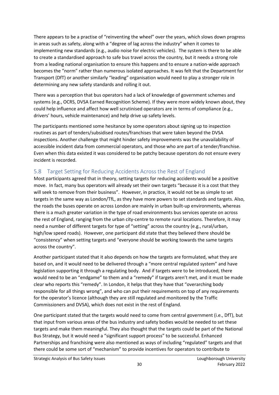There appears to be a practise of "reinventing the wheel" over the years, which slows down progress in areas such as safety, along with a "degree of lag across the industry" when it comes to implementing new standards (e.g., audio noise for electric vehicles). The system is there to be able to create a standardised approach to safe bus travel across the country, but it needs a strong role from a leading national organisation to ensure this happens and to ensure a nation-wide approach becomes the "norm" rather than numerous isolated approaches. It was felt that the Department for Transport (DfT) or another similarly "leading" organisation would need to play a stronger role in determining any new safety standards and rolling it out.

There was a perception that bus operators had a lack of knowledge of government schemes and systems (e.g., OCRS, DVSA Earned Recognition Scheme). If they were more widely known about, they could help influence and affect how well scrutinised operators are in terms of compliance (e.g., drivers' hours, vehicle maintenance) and help drive up safety levels.

The participants mentioned some hesitance by some operators about signing up to inspection routines as part of tenders/subsidised routes/franchises that were taken beyond the DVSA inspections. Another challenge that might hinder safety improvements was the unavailability of accessible incident data from commercial operators, and those who are part of a tender/franchise. Even when this data existed it was considered to be patchy because operators do not ensure every incident is recorded.

## <span id="page-30-0"></span>5.8 Target Setting for Reducing Accidents Across the Rest of England

Most participants agreed that in theory, setting targets for reducing accidents would be a positive move. In fact, many bus operators will already set their own targets "because it is a cost that they will seek to remove from their business". However, in practice, it would not be as simple to set targets in the same way as London/TfL, as they have more powers to set standards and targets. Also, the roads the buses operate on across London are mainly in urban built-up environments, whereas there is a much greater variation in the type of road environments bus services operate on across the rest of England, ranging from the urban city-centre to remote rural locations. Therefore, it may need a number of different targets for type of "setting" across the country (e.g., rural/urban, high/low speed roads). However, one participant did state that they believed there should be "consistency" when setting targets and "everyone should be working towards the same targets across the country".

Another participant stated that it also depends on how the targets are formulated, what they are based on, and it would need to be delivered through a "more central regulated system" and have legislation supporting it through a regulating body. And if targets were to be introduced, there would need to be an "endgame" to them and a "remedy" if targets aren't met, and it must be made clear who reports this "remedy". In London, it helps that they have that "overarching body responsible for all things wrong", and who can put their requirements on top of any requirements for the operator's licence (although they are still regulated and monitored by the Traffic Commissioners and DVSA), which does not exist in the rest of England.

One participant stated that the targets would need to come from central government (i.e., DfT), but that input from various areas of the bus industry and safety bodies would be needed to set these targets and make them meaningful. They also thought that the targets could be part of the National Bus Strategy, but it would need a "significant support process" to be successful. Enhanced Partnerships and franchising were also mentioned as ways of including "regulated" targets and that there could be some sort of "mechanism" to provide incentives for operators to contribute to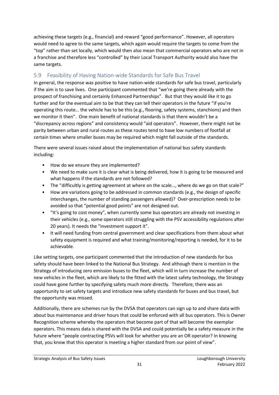achieving these targets (e.g., financial) and reward "good performance". However, all operators would need to agree to the same targets, which again would require the targets to come from the "top" rather than set locally, which would then also mean that commercial operators who are not in a franchise and therefore less "controlled" by their Local Transport Authority would also have the same targets.

## <span id="page-31-0"></span>5.9 Feasibility of Having Nation-wide Standards for Safe Bus Travel

In general, the response was positive to have nation-wide standards for safe bus travel, particularly if the aim is to save lives. One participant commented that "we're going there already with the prospect of franchising and certainly Enhanced Partnerships". But that they would like it to go further and for the eventual aim to be that they can tell their operators in the future "if you're operating this route… the vehicle has to be this (e.g., flooring, safety systems, stanchions) and then we monitor it then". One main benefit of national standards is that there wouldn't be a "discrepancy across regions" and consistency would "aid operators". However, there might not be parity between urban and rural routes as these routes tend to have low numbers of footfall at certain times where smaller buses may be required which might fall outside of the standards.

There were several issues raised about the implementation of national bus safety standards including:

- How do we ensure they are implemented?
- We need to make sure it is clear what is being delivered, how it is going to be measured and what happens if the standards are not followed?
- The "difficultly is getting agreement at where on the scale..., where do we go on that scale?"
- How are variations going to be addressed in common standards (e.g., the design of specific interchanges, the number of standing passengers allowed)? Over-prescription needs to be avoided so that "potential good points" are not designed out.
- "It's going to cost money", when currently some bus operators are already not investing in their vehicles (e.g., some operators still struggling with the PSV accessibility regulations after 20 years). It needs the "investment support it".
- It will need funding from central government and clear specifications from them about what safety equipment is required and what training/monitoring/reporting is needed, for it to be achievable.

Like setting targets, one participant commented that the introduction of new standards for bus safety should have been linked to the National Bus Strategy. And although there is mention in the Strategy of introducing zero emission buses to the fleet, which will in turn increase the number of new vehicles in the fleet, which are likely to the fitted with the latest safety technology, the Strategy could have gone further by specifying safety much more directly. Therefore, there was an opportunity to set safety targets and introduce new safety standards for buses and bus travel, but the opportunity was missed.

Additionally, there are schemes run by the DVSA that operators can sign up to and share data with about bus maintenance and driver hours that could be enforced with all bus operators. This is Owner Recognition scheme whereby the operators that become part of that will become the exemplar operators. This means data is shared with the DVSA and could potentially be a safety measure in the future where "people contracting PSVs will look for whether you are an OR operator? In knowing that, you know that this operator is meeting a higher standard from our point of view".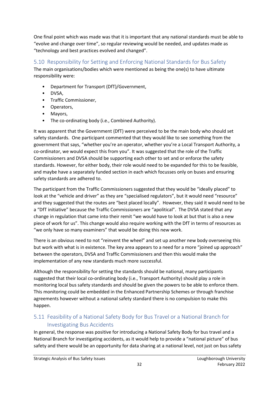One final point which was made was that it is important that any national standards must be able to "evolve and change over time", so regular reviewing would be needed, and updates made as "technology and best practices evolved and changed".

## <span id="page-32-0"></span>5.10 Responsibility for Setting and Enforcing National Standards for Bus Safety

The main organisations/bodies which were mentioned as being the one(s) to have ultimate responsibility were:

- Department for Transport (DfT)/Government,
- DVSA,
- Traffic Commissioner,
- Operators,
- Mayors,
- The co-ordinating body (i.e., Combined Authority).

It was apparent that the Government (DfT) were perceived to be the main body who should set safety standards. One participant commented that they would like to see something from the government that says, "whether you're an operator, whether you're a Local Transport Authority, a co-ordinator, we would expect this from you". It was suggested that the role of the Traffic Commissioners and DVSA should be supporting each other to set and or enforce the safety standards. However, for either body, their role would need to be expanded for this to be feasible, and maybe have a separately funded section in each which focusses only on buses and ensuring safety standards are adhered to.

The participant from the Traffic Commissioners suggested that they would be "ideally placed" to look at the "vehicle and driver" as they are "specialised regulators", but it would need "resource" and they suggested that the routes are "best placed locally". However, they said it would need to be a "DfT initiative" because the Traffic Commissioners are "apolitical". The DVSA stated that any change in regulation that came into their remit "we would have to look at but that is also a new piece of work for us". This change would also require working with the DfT in terms of resources as "we only have so many examiners" that would be doing this new work.

There is an obvious need to not "reinvent the wheel" and set up another new body overseeing this but work with what is in existence. The key area appears to a need for a more "joined up approach" between the operators, DVSA and Traffic Commissioners and then this would make the implementation of any new standards much more successful.

Although the responsibility for setting the standards should be national, many participants suggested that their local co-ordinating body (i.e., Transport Authority) should play a role in monitoring local bus safety standards and should be given the powers to be able to enforce them. This monitoring could be embedded in the Enhanced Partnership Schemes or through franchise agreements however without a national safety standard there is no compulsion to make this happen.

## <span id="page-32-1"></span>5.11 Feasibility of a National Safety Body for Bus Travel or a National Branch for Investigating Bus Accidents

In general, the response was positive for introducing a National Safety Body for bus travel and a National Branch for investigating accidents, as it would help to provide a "national picture" of bus safety and there would be an opportunity for data sharing at a national level, not just on bus safety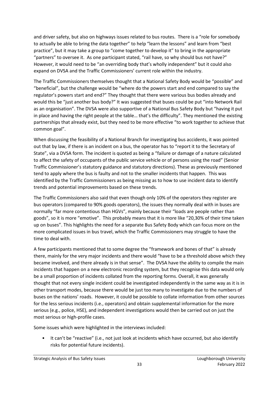and driver safety, but also on highways issues related to bus routes. There is a "role for somebody to actually be able to bring the data together" to help "learn the lessons" and learn from "best practice", but it may take a group to "come together to develop it" to bring in the appropriate "partners" to oversee it. As one participant stated, "rail have, so why should bus not have?" However, it would need to be "an overriding body that's wholly independent" but it could also expand on DVSA and the Traffic Commissioners' current role within the industry.

The Traffic Commissioners themselves thought that a National Safety Body would be "possible" and "beneficial", but the challenge would be "where do the powers start and end compared to say the regulator's powers start and end?" They thought that there were various bus bodies already and would this be "just another bus body?" It was suggested that buses could be put "into Network Rail as an organisation". The DVSA were also supportive of a National Bus Safety Body but "having it put in place and having the right people at the table… that's the difficulty". They mentioned the existing partnerships that already exist, but they need to be more effective "to work together to achieve that common goal".

When discussing the feasibility of a National Branch for investigating bus accidents, it was pointed out that by law, if there is an incident on a bus, the operator has to "report it to the Secretary of State", via a DVSA form. The incident is quoted as being a "failure or damage of a nature calculated to affect the safety of occupants of the public service vehicle or of persons using the road" (Senior Traffic Commissioner's statutory guidance and statutory directions). These as previously mentioned tend to apply where the bus is faulty and not to the smaller incidents that happen. This was identified by the Traffic Commissioners as being missing as to how to use incident data to identify trends and potential improvements based on these trends.

The Traffic Commissioners also said that even though only 10% of the operators they register are bus operators (compared to 90% goods operators), the issues they normally deal with in buses are normally "far more contentious than HGVs", mainly because their "loads are people rather than goods", so it is more "emotive". This probably means that it is more like "20,30% of their time taken up on buses". This highlights the need for a separate Bus Safety Body which can focus more on the more complicated issues in bus travel, which the Traffic Commissioners may struggle to have the time to deal with.

A few participants mentioned that to some degree the "framework and bones of that" is already there, mainly for the very major incidents and there would "have to be a threshold above which they became involved, and there already is in that sense". The DVSA have the ability to compile the main incidents that happen on a new electronic recording system, but they recognise this data would only be a small proportion of incidents collated from the reporting forms. Overall, it was generally thought that not every single incident could be investigated independently in the same way as it is in other transport modes, because there would be just too many to investigate due to the numbers of buses on the nations' roads. However, it could be possible to collate information from other sources for the less serious incidents (i.e., operators) and obtain supplemental information for the more serious (e.g., police, HSE), and independent investigations would then be carried out on just the most serious or high-profile cases.

Some issues which were highlighted in the interviews included:

• It can't be "reactive" (i.e., not just look at incidents which have occurred, but also identify risks for potential future incidents).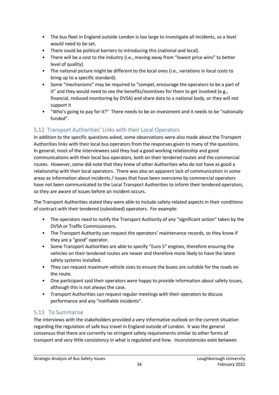- The bus fleet in England outside London is too large to investigate all incidents, so a level would need to be set.
- There could be political barriers to introducing this (national and local).
- There will be a cost to the industry (i.e., moving away from "lowest price wins" to better level of quality).
- The national picture might be different to the local ones (i.e., variations in local costs to bring up to a specific standard).
- Some "mechanisms" may be required to "compel, encourage the operators to be a part of it" and they would need to see the benefits/incentives for them to get involved (e.g., financial, reduced monitoring by DVSA) and share data to a national body, or they will not support it
- "Who's going to pay for it?" There needs to be an investment and it needs to be "nationally funded".

## <span id="page-34-0"></span>5.12 Transport Authorities' Links with their Local Operators

In addition to the specific questions asked, some observations were also made about the Transport Authorities links with their local bus operators from the responses given to many of the questions. In general, most of the interviewees said they had a good working relationship and good communications with their local bus operators, both on their tendered routes and the commercial routes. However, some did note that they knew of other Authorities who do not have as good a relationship with their local operators. There was also an apparent lack of communication in some areas as information about incidents / issues that have been overcome by commercial operators have not been communicated to the Local Transport Authorities to inform their tendered operators, so they are aware of issues before an incident occurs.

The Transport Authorities stated they were able to include safety-related aspects in their conditions of contract with their tendered (subsidised) operators. For example:

- The operators need to notify the Transport Authority of any "significant action" taken by the DVSA or Traffic Commissioners.
- The Transport Authority can request the operators' maintenance records, so they know if they are a "good" operator.
- Some Transport Authorities are able to specify "Euro 5" engines, therefore ensuring the vehicles on their tendered routes are newer and therefore more likely to have the latest safety systems installed.
- They can request maximum vehicle sizes to ensure the buses are suitable for the roads on the route.
- One participant said their operators were happy to provide information about safety issues, although this is not always the case.
- Transport Authorities can request regular meetings with their operators to discuss performance and any "notifiable incidents".

## <span id="page-34-1"></span>5.13 To Summarise

The interviews with the stakeholders provided a very informative outlook on the current situation regarding the regulation of safe bus travel in England outside of London. It was the general consensus that there are currently no stringent safety requirements similar to other forms of transport and very little consistency in what is regulated and how. Inconsistencies exist between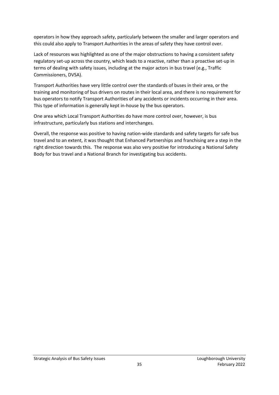operators in how they approach safety, particularly between the smaller and larger operators and this could also apply to Transport Authorities in the areas of safety they have control over.

Lack of resources was highlighted as one of the major obstructions to having a consistent safety regulatory set-up across the country, which leads to a reactive, rather than a proactive set-up in terms of dealing with safety issues, including at the major actors in bus travel (e.g., Traffic Commissioners, DVSA).

Transport Authorities have very little control over the standards of buses in their area, or the training and monitoring of bus drivers on routes in their local area, and there is no requirement for bus operators to notify Transport Authorities of any accidents or incidents occurring in their area. This type of information is generally kept in-house by the bus operators.

One area which Local Transport Authorities do have more control over, however, is bus infrastructure, particularly bus stations and interchanges.

Overall, the response was positive to having nation-wide standards and safety targets for safe bus travel and to an extent, it was thought that Enhanced Partnerships and franchising are a step in the right direction towards this. The response was also very positive for introducing a National Safety Body for bus travel and a National Branch for investigating bus accidents.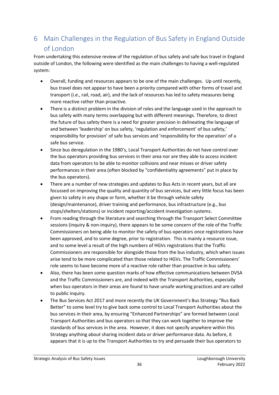# <span id="page-36-0"></span>6 Main Challenges in the Regulation of Bus Safety in England Outside of London

From undertaking this extensive review of the regulation of bus safety and safe bus travel in England outside of London, the following were identified as the main challenges to having a well-regulated system:

- Overall, funding and resources appears to be one of the main challenges. Up until recently, bus travel does not appear to have been a priority compared with other forms of travel and transport (i.e., rail, road, air), and the lack of resources has led to safety measures being more reactive rather than proactive.
- There is a distinct problem in the division of roles and the language used in the approach to bus safety with many terms overlapping but with different meanings. Therefore, to direct the future of bus safety there is a need for greater precision in delineating the language of and between 'leadership' on bus safety, 'regulation and enforcement' of bus safety,' responsibility for provision' of safe bus services and 'responsibility for the operation' of a safe bus service.
- Since bus deregulation in the 1980's, Local Transport Authorities do not have control over the bus operators providing bus services in their area nor are they able to access incident data from operators to be able to monitor collisions and near misses or driver safety performances in their area (often blocked by "confidentiality agreements" put in place by the bus operators).
- There are a number of new strategies and updates to Bus Acts in recent years, but all are focussed on improving the quality and quantity of bus services, but very little focus has been given to safety in any shape or form, whether it be through vehicle safety (design/maintenance), driver training and performance, bus infrastructure (e.g., bus stops/shelters/stations) or incident reporting/accident investigation systems.
- From reading through the literature and searching through the Transport Select Committee sessions (inquiry & non-inquiry), there appears to be some concern of the role of the Traffic Commissioners on being able to monitor the safety of bus operators once registrations have been approved, and to some degree, prior to registration. This is mainly a resource issue, and to some level a result of the high numbers of HGVs registrations that the Traffic Commissioners are responsible for alongside those from the bus industry, which when issues arise tend to be more complicated than those related to HGVs. The Traffic Commissioners' role seems to have become more of a reactive role rather than proactive in bus safety.
- Also, there has been some question marks of how effective communications between DVSA and the Traffic Commissioners are, and indeed with the Transport Authorities, especially when bus operators in their areas are found to have unsafe working practices and are called to public inquiry.
- The Bus Services Act 2017 and more recently the UK Government's Bus Strategy "Bus Back Better" to some level try to give back some control to Local Transport Authorities about the bus services in their area, by ensuring "Enhanced Partnerships" are formed between Local Transport Authorities and bus operators so that they can work together to improve the standards of bus services in the area. However, it does not specify anywhere within this Strategy anything about sharing incident data or driver performance data. As before, it appears that it is up to the Transport Authorities to try and persuade their bus operators to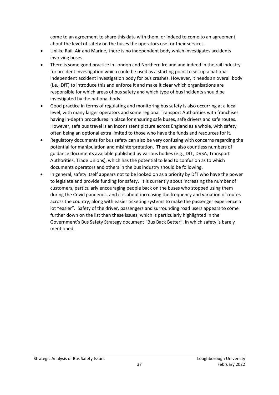come to an agreement to share this data with them, or indeed to come to an agreement about the level of safety on the buses the operators use for their services.

- Unlike Rail, Air and Marine, there is no independent body which investigates accidents involving buses.
- There is some good practice in London and Northern Ireland and indeed in the rail industry for accident investigation which could be used as a starting point to set up a national independent accident investigation body for bus crashes. However, it needs an overall body (i.e., DfT) to introduce this and enforce it and make it clear which organisations are responsible for which areas of bus safety and which type of bus incidents should be investigated by the national body.
- Good practice in terms of regulating and monitoring bus safety is also occurring at a local level, with many larger operators and some regional Transport Authorities with franchises having in-depth procedures in place for ensuring safe buses, safe drivers and safe routes. However, safe bus travel is an inconsistent picture across England as a whole, with safety often being an optional extra limited to those who have the funds and resources for it.
- Regulatory documents for bus safety can also be very confusing with concerns regarding the potential for manipulation and misinterpretation. There are also countless numbers of guidance documents available published by various bodies (e.g., DfT, DVSA, Transport Authorities, Trade Unions), which has the potential to lead to confusion as to which documents operators and others in the bus industry should be following.
- In general, safety itself appears not to be looked on as a priority by DfT who have the power to legislate and provide funding for safety. It is currently about increasing the number of customers, particularly encouraging people back on the buses who stopped using them during the Covid pandemic, and it is about increasing the frequency and variation of routes across the country, along with easier ticketing systems to make the passenger experience a lot "easier". Safety of the driver, passengers and surrounding road users appears to come further down on the list than these issues, which is particularly highlighted in the Government's Bus Safety Strategy document "Bus Back Better", in which safety is barely mentioned.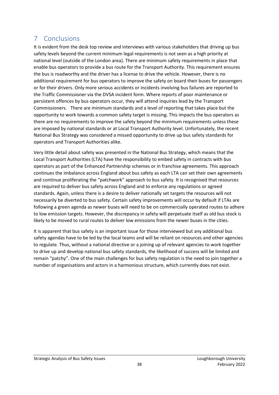# <span id="page-38-0"></span>7 Conclusions

It is evident from the desk top review and interviews with various stakeholders that driving up bus safety levels beyond the current minimum legal requirements is not seen as a high priority at national level (outside of the London area). There are minimum safety requirements in place that enable bus operators to provide a bus route for the Transport Authority. This requirement ensures the bus is roadworthy and the driver has a license to drive the vehicle. However, there is no additional requirement for bus operators to improve the safety on board their buses for passengers or for their drivers. Only more serious accidents or incidents involving bus failures are reported to the Traffic Commissioner via the DVSA incident form. Where reports of poor maintenance or persistent offences by bus operators occur, they will attend inquiries lead by the Transport Commissioners. There are minimum standards and a level of reporting that takes place but the opportunity to work towards a common safety target is missing. This impacts the bus operators as there are no requirements to improve the safety beyond the minimum requirements unless these are imposed by national standards or at Local Transport Authority level. Unfortunately, the recent National Bus Strategy was considered a missed opportunity to drive up bus safety standards for operators and Transport Authorities alike.

Very little detail about safety was presented in the National Bus Strategy, which means that the Local Transport Authorities (LTA) have the responsibility to embed safety in contracts with bus operators as part of the Enhanced Partnership schemes or in franchise agreements. This approach continues the imbalance across England about bus safety as each LTA can set their own agreements and continue proliferating the "patchwork" approach to bus safety. It is recognised that resources are required to deliver bus safety across England and to enforce any regulations or agreed standards. Again, unless there is a desire to deliver nationally set targets the resources will not necessarily be diverted to bus safety. Certain safety improvements will occur by default if LTAs are following a green agenda as newer buses will need to be on commercially operated routes to adhere to low emission targets. However, the discrepancy in safety will perpetuate itself as old bus stock is likely to be moved to rural routes to deliver low emissions from the newer buses in the cities.

It is apparent that bus safety is an important issue for those interviewed but any additional bus safety agendas have to be led by the local teams and will be reliant on resources and other agencies to regulate. Thus, without a national directive or a joining up of relevant agencies to work together to drive up and develop national bus safety standards, the likelihood of success will be limited and remain "patchy". One of the main challenges for bus safety regulation is the need to join together a number of organisations and actors in a harmonious structure, which currently does not exist.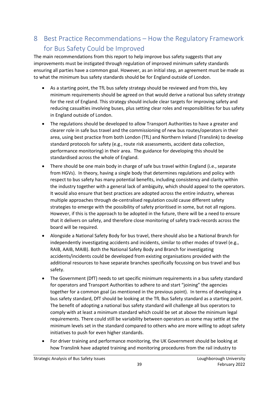# <span id="page-39-0"></span>8 Best Practice Recommendations – How the Regulatory Framework for Bus Safety Could be Improved

The main recommendations from this report to help improve bus safety suggests that any improvements must be instigated through regulation of improved minimum safety standards ensuring all parties have a common goal. However, as an initial step, an agreement must be made as to what the minimum bus safety standards should be for England outside of London.

- As a starting point, the TfL bus safety strategy should be reviewed and from this, key minimum requirements should be agreed on that would derive a national bus safety strategy for the rest of England. This strategy should include clear targets for improving safety and reducing casualties involving buses, plus setting clear roles and responsibilities for bus safety in England outside of London.
- The regulations should be developed to allow Transport Authorities to have a greater and clearer role in safe bus travel and the commissioning of new bus routes/operators in their area, using best practice from both London (TfL) and Northern Ireland (Translink) to develop standard protocols for safety (e.g., route risk assessments, accident data collection, performance monitoring) in their area. The guidance for developing this should be standardised across the whole of England.
- There should be one main body in charge of safe bus travel within England (i.e., separate from HGVs). In theory, having a single body that determines regulations and policy with respect to bus safety has many potential benefits, including consistency and clarity within the industry together with a general lack of ambiguity, which should appeal to the operators. It would also ensure that best practices are adopted across the entire industry, whereas multiple approaches through de-centralised regulation could cause different safety strategies to emerge with the possibility of safety prioritised in some, but not all regions. However, if this is the approach to be adopted in the future, there will be a need to ensure that it delivers on safety, and therefore close monitoring of safety track-records across the board will be required.
- Alongside a National Safety Body for bus travel, there should also be a National Branch for independently investigating accidents and incidents, similar to other modes of travel (e.g., RAIB, AAIB, MAIB). Both the National Safety Body and Branch for investigating accidents/incidents could be developed from existing organisations provided with the additional resources to have separate branches specifically focussing on bus travel and bus safety.
- The Government (DfT) needs to set specific minimum requirements in a bus safety standard for operators and Transport Authorities to adhere to and start "joining" the agencies together for a common goal (as mentioned in the previous point). In terms of developing a bus safety standard, DfT should be looking at the TfL Bus Safety standard as a starting point. The benefit of adopting a national bus safety standard will challenge all bus operators to comply with at least a minimum standard which could be set at above the minimum legal requirements. There could still be variability between operators as some may settle at the minimum levels set in the standard compared to others who are more willing to adopt safety initiatives to push for even higher standards.
- For driver training and performance monitoring, the UK Government should be looking at how Translink have adapted training and monitoring procedures from the rail industry to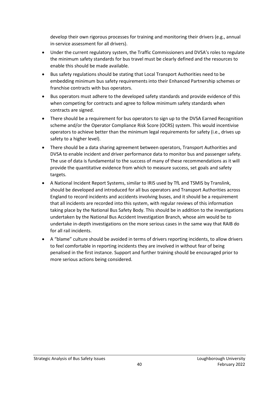develop their own rigorous processes for training and monitoring their drivers (e.g., annual in-service assessment for all drivers).

- Under the current regulatory system, the Traffic Commissioners and DVSA's roles to regulate the minimum safety standards for bus travel must be clearly defined and the resources to enable this should be made available.
- Bus safety regulations should be stating that Local Transport Authorities need to be embedding minimum bus safety requirements into their Enhanced Partnership schemes or franchise contracts with bus operators.
- Bus operators must adhere to the developed safety standards and provide evidence of this when competing for contracts and agree to follow minimum safety standards when contracts are signed.
- There should be a requirement for bus operators to sign up to the DVSA Earned Recognition scheme and/or the Operator Compliance Risk Score (OCRS) system. This would incentivise operators to achieve better than the minimum legal requirements for safety (i.e., drives up safety to a higher level).
- There should be a data sharing agreement between operators, Transport Authorities and DVSA to enable incident and driver performance data to monitor bus and passenger safety. The use of data is fundamental to the success of many of these recommendations as it will provide the quantitative evidence from which to measure success, set goals and safety targets.
- A National Incident Report Systems, similar to IRIS used by TfL and TSMIS by Translink, should be developed and introduced for all bus operators and Transport Authorities across England to record incidents and accidents involving buses, and it should be a requirement that all incidents are recorded into this system, with regular reviews of this information taking place by the National Bus Safety Body. This should be in addition to the investigations undertaken by the National Bus Accident Investigation Branch, whose aim would be to undertake in-depth investigations on the more serious cases in the same way that RAIB do for all rail incidents.
- A "blame" culture should be avoided in terms of drivers reporting incidents, to allow drivers to feel comfortable in reporting incidents they are involved in without fear of being penalised in the first instance. Support and further training should be encouraged prior to more serious actions being considered.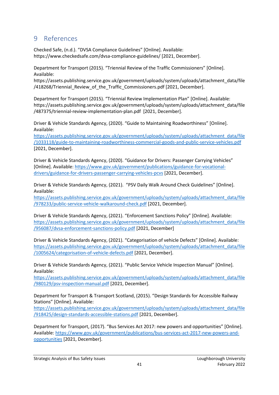## <span id="page-41-0"></span>9 References

Checked Safe, (n.d.). "DVSA Compliance Guidelines" [Online]. Available: https://www.checkedsafe.com/dvsa-compliance-guidelines/ [2021, December].

Department for Transport (2015). "Triennial Review of the Traffic Commissioners" [Online]. Available:

[https://assets.publishing.service.gov.uk/government/uploads/system/uploads/attachment\\_data/file](https://assets.publishing.service.gov.uk/government/uploads/system/uploads/attachment_data/file/418268/Triennial_Review_of_the_Traffic_Commissioners.pdf) [/418268/Triennial\\_Review\\_of\\_the\\_Traffic\\_Commissioners.pdf](https://assets.publishing.service.gov.uk/government/uploads/system/uploads/attachment_data/file/418268/Triennial_Review_of_the_Traffic_Commissioners.pdf) [2021, December].

Department for Transport (2015). "Triennial Review Implementation Plan" [Online]. Available: [https://assets.publishing.service.gov.uk/government/uploads/system/uploads/attachment\\_data/file](https://assets.publishing.service.gov.uk/government/uploads/system/uploads/attachment_data/file/487375/triennial-review-implementation-plan.pdf) [/487375/triennial-review-implementation-plan.pdf](https://assets.publishing.service.gov.uk/government/uploads/system/uploads/attachment_data/file/487375/triennial-review-implementation-plan.pdf) [2021, December].

Driver & Vehicle Standards Agency, (2020). "Guide to Maintaining Roadworthines[s"](https://www.parliament.uk/business/committees/committees-a-z/commons-select/transport-committee/inquiries/parliament-2017/departmental-policy-performance-17-19/) [Online]. Available:

[https://assets.publishing.service.gov.uk/government/uploads/system/uploads/attachment\\_data/file](https://assets.publishing.service.gov.uk/government/uploads/system/uploads/attachment_data/file/1033118/guide-to-maintaining-roadworthiness-commercial-goods-and-public-service-vehicles.pdf) [/1033118/guide-to-maintaining-roadworthiness-commercial-goods-and-public-service-vehicles.pdf](https://assets.publishing.service.gov.uk/government/uploads/system/uploads/attachment_data/file/1033118/guide-to-maintaining-roadworthiness-commercial-goods-and-public-service-vehicles.pdf) [2021, December].

Driver & Vehicle Standards Agency, (2020). "Guidance for Drivers: Passenger Carrying Vehicles" [Online]. Available[: https://www.gov.uk/government/publications/guidance-for-vocational](https://www.gov.uk/government/publications/guidance-for-vocational-drivers/guidance-for-drivers-passenger-carrying-vehicles-pcvs)[drivers/guidance-for-drivers-passenger-carrying-vehicles-pcvs](https://www.gov.uk/government/publications/guidance-for-vocational-drivers/guidance-for-drivers-passenger-carrying-vehicles-pcvs) [2021, December].

Driver & Vehicle Standards Agency, (2021). "PSV Daily Walk Around Check Guidelines" [Online]. Available:

[https://assets.publishing.service.gov.uk/government/uploads/system/uploads/attachment\\_data/file](https://assets.publishing.service.gov.uk/government/uploads/system/uploads/attachment_data/file/978233/public-service-vehicle-walkaround-check.pdf) [/978233/public-service-vehicle-walkaround-check.pdf](https://assets.publishing.service.gov.uk/government/uploads/system/uploads/attachment_data/file/978233/public-service-vehicle-walkaround-check.pdf) [2021, December].

Driver & Vehicle Standards Agency, (2021). "Enforcement Sanctions Policy" [Online]. Available: [https://assets.publishing.service.gov.uk/government/uploads/system/uploads/attachment\\_data/file](https://assets.publishing.service.gov.uk/government/uploads/system/uploads/attachment_data/file/956087/dvsa-enforcement-sanctions-policy.pdf) [/956087/dvsa-enforcement-sanctions-policy.pdf](https://assets.publishing.service.gov.uk/government/uploads/system/uploads/attachment_data/file/956087/dvsa-enforcement-sanctions-policy.pdf) [2021, December]

Driver & Vehicle Standards Agency, (2021). "Categorisation of vehicle Defects" [Online]. Available: [https://assets.publishing.service.gov.uk/government/uploads/system/uploads/attachment\\_data/file](https://assets.publishing.service.gov.uk/government/uploads/system/uploads/attachment_data/file/1005624/categorisation-of-vehicle-defects.pdf) [/1005624/categorisation-of-vehicle-defects.pdf](https://assets.publishing.service.gov.uk/government/uploads/system/uploads/attachment_data/file/1005624/categorisation-of-vehicle-defects.pdf) [2021, December].

Driver & Vehicle Standards Agency, (2021). "Public Service Vehicle Inspection Manual" [Online]. Available:

[https://assets.publishing.service.gov.uk/government/uploads/system/uploads/attachment\\_data/file](https://assets.publishing.service.gov.uk/government/uploads/system/uploads/attachment_data/file/980129/psv-inspection-manual.pdf) [/980129/psv-inspection-manual.pdf](https://assets.publishing.service.gov.uk/government/uploads/system/uploads/attachment_data/file/980129/psv-inspection-manual.pdf) [2021, December].

Department for Transport & Transport Scotland, (2015). "Design Standards for Accessible Railway Stations" [Online]. Available:

[https://assets.publishing.service.gov.uk/government/uploads/system/uploads/attachment\\_data/file](https://assets.publishing.service.gov.uk/government/uploads/system/uploads/attachment_data/file/918425/design-standards-accessible-stations.pdf) [/918425/design-standards-accessible-stations.pdf](https://assets.publishing.service.gov.uk/government/uploads/system/uploads/attachment_data/file/918425/design-standards-accessible-stations.pdf) [2021, December].

Department for Transport, (2017). "Bus Services Act 2017: new powers and opportunities" [Online]. Available: [https://www.gov.uk/government/publications/bus-services-act-2017-new-powers-and](https://www.gov.uk/government/publications/bus-services-act-2017-new-powers-and-opportunities)[opportunities](https://www.gov.uk/government/publications/bus-services-act-2017-new-powers-and-opportunities) [2021, December].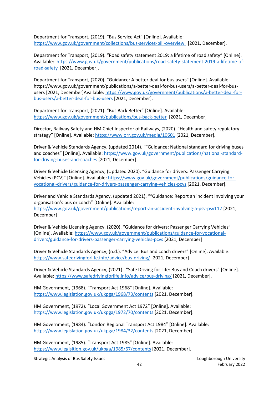Department for Transport, (2019). "Bus Service Act" [Online]. Available: <https://www.gov.uk/government/collections/bus-services-bill-overview>[2021, December].

Department for Transport, (2019). "Road safety statement 2019: a lifetime of road safety" [Online]. Available: [https://www.gov.uk/government/publications/road-safety-statement-2019-a-lifetime-of](https://www.gov.uk/government/publications/road-safety-statement-2019-a-lifetime-of-road-safety)[road-safety](https://www.gov.uk/government/publications/road-safety-statement-2019-a-lifetime-of-road-safety) [2021, December].

Department for Transport, (2020). "Guidance: A better deal for bus users" [Online]. Available: [https://www.gov.uk/government/publications/a-better-deal-for-bus-users/a-better-deal-for-bus](https://www.gov.uk/government/publications/a-better-deal-for-bus-users/a-better-deal-for-bus-users)[users](https://www.gov.uk/government/publications/a-better-deal-for-bus-users/a-better-deal-for-bus-users) [2021, December]Available: [https://www.gov.uk/government/publications/a-better-deal-for](https://www.gov.uk/government/publications/a-better-deal-for-bus-users/a-better-deal-for-bus-users)[bus-users/a-better-deal-for-bus-users](https://www.gov.uk/government/publications/a-better-deal-for-bus-users/a-better-deal-for-bus-users) [2021, December].

Department for Transport, (2021). "Bus Back Better" [Online]. Available: <https://www.gov.uk/government/publications/bus-back-better> [2021, December]

Director, Railway Safety and HM Chief Inspector of Railways, (2020). "Health and safety regulatory strategy" [Online]. Available:<https://www.orr.gov.uk/media/10601> [2021, December].

Driver & Vehicle Standards Agency, (updated 2014). ""Guidance: National standard for driving buses and coaches" [Online]. Available: [https://www.gov.uk/government/publications/national-standard](https://www.gov.uk/government/publications/national-standard-for-driving-buses-and-coaches)[for-driving-buses-and-coaches](https://www.gov.uk/government/publications/national-standard-for-driving-buses-and-coaches) [2021, December]

Driver & Vehicle Licensing Agency, (Updated 2020). "Guidance for drivers: Passenger Carrying Vehicles (PCV)" [Online]. Available[: https://www.gov.uk/government/publications/guidance-for](https://www.gov.uk/government/publications/guidance-for-vocational-drivers/guidance-for-drivers-passenger-carrying-vehicles-pcvs)[vocational-drivers/guidance-for-drivers-passenger-carrying-vehicles-pcvs](https://www.gov.uk/government/publications/guidance-for-vocational-drivers/guidance-for-drivers-passenger-carrying-vehicles-pcvs) [2021, December].

Driver and Vehicle Standards Agency, (updated 2021). ""Guidance: Report an incident involving your organisation's bus or coach" [Online]. Available: <https://www.gov.uk/government/publications/report-an-accident-involving-a-psv-psv112> [2021, December]

Driver & Vehicle Licensing Agency, (2020). "Guidance for drivers: Passenger Carrying Vehicles" [Online]. Available[: https://www.gov.uk/government/publications/guidance-for-vocational](https://www.gov.uk/government/publications/guidance-for-vocational-drivers/guidance-for-drivers-passenger-carrying-vehicles-pcvs)[drivers/guidance-for-drivers-passenger-carrying-vehicles-pcvs](https://www.gov.uk/government/publications/guidance-for-vocational-drivers/guidance-for-drivers-passenger-carrying-vehicles-pcvs) [2021, December]

Driver & Vehicle Standards Agency, (n.d.). "Advice: Bus and coach drivers" [Online]. Available: <https://www.safedrivingforlife.info/advice/bus-driving/> [2021, December]

Driver & Vehicle Standards Agency, (2021). "Safe Driving for Life: Bus and Coach drivers" [Online]. Available:<https://www.safedrivingforlife.info/advice/bus-driving/> [2021, December].

HM Government, (1968). "Transport Act 1968" [Online]. Available: <https://www.legislation.gov.uk/ukpga/1968/73/contents> [2021, December].

HM Government, (1972). "Local Government Act 1972" [Online]. Available: <https://www.legislation.gov.uk/ukpga/1972/70/contents> [2021, December].

HM Government, (1984). "London Regional Transport Act 1984" [Online]. Available: <https://www.legislation.gov.uk/ukpga/1984/32/contents> [2021, December].

HM Government, (1985). "Transport Act 1985" [Online]. Available: <https://www.legisltion.gov.uk/ukpga/1985/67/contents> [2021, December].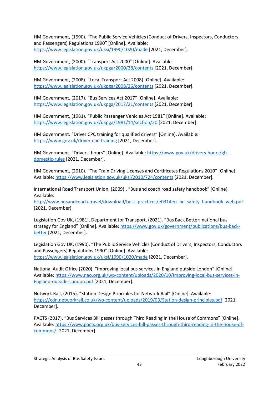HM Government, (1990). "The Public Service Vehicles (Conduct of Drivers, Inspectors, Conductors and Passengers) Regulations 1990" [Online]. Available: <https://www.legislation.gov.uk/uksi/1990/1020/made> [2021, December].

HM Government, (2000). "Transport Act 2000" [Online]. Available: <https://www.legislation.gov.uk/ukpga/2000/38/contents> [2021, December].

HM Government, (2008). "Local Transport Act 2008) [Online]. Available: <https://www.legislation.gov.uk/ukpga/2008/26/contents> [2021, December].

HM Government, (2017). "Bus Services Act 2017" [Online]. Available: <https://www.legislation.gov.uk/ukpga/2017/21/contents> [2021, December].

HM Government, (1981). "Public Passenger Vehicles Act 1981" [Online]. Available: <https://www.legislation.gov.uk/ukpga/1981/14/section/20> [2021, December].

HM Government. "Driver CPC training for qualified drivers" [Online]. Available: <https://www.gov.uk/driver-cpc-training> [2021, December].

HM Government. "Drivers' hours" [Online]. Available: [https://www.gov.uk/drivers-hours/gb](https://www.gov.uk/drivers-hours/gb-domestic-rules)[domestic-rules](https://www.gov.uk/drivers-hours/gb-domestic-rules) [2021, December].

HM Government, (2010). "The Train Driving Licenses and Certificates Regulations 2010" [Online]. Available:<https://www.legislation.gov.uk/uksi/2010/724/contents> [2021, December].

International Road Transport Union, (2009)., "Bus and coach road safety handbook" [Online]. Available:

[http://www.busandcoach.travel/download/best\\_practices/e0314en\\_bc\\_safety\\_handbook\\_web.pdf](http://www.busandcoach.travel/download/best_practices/e0314en_bc_safety_handbook_web.pdf) (2021, December).

Legislation Gov UK, (1981). Department for Transport, (2021). "Bus Back Better: national bus strategy for England" [Online]. Available[: https://www.gov.uk/government/publications/bus-back](https://www.gov.uk/government/publications/bus-back-better)[better](https://www.gov.uk/government/publications/bus-back-better) [2021, December].

Legislation Gov UK, (1990). "The Public Service Vehicles (Conduct of Drivers, Inspectors, Conductors and Passengers) Regulations 1990" [Online]. Available: <https://www.legislation.gov.uk/uksi/1990/1020/made> [2021, December].

National Audit Office (2020). "Improving local bus services in England outside London" [Online]. Available: [https://www.nao.org.uk/wp-content/uploads/2020/10/Improving-local-bus-services-in-](https://www.nao.org.uk/wp-content/uploads/2020/10/Improving-local-bus-services-in-England-outside-London.pdf)[England-outside-London.pdf](https://www.nao.org.uk/wp-content/uploads/2020/10/Improving-local-bus-services-in-England-outside-London.pdf) [2021, December].

Network Rail, (2015). "Station Design Principles for Network Rail" [Online]. Available: <https://cdn.networkrail.co.uk/wp-content/uploads/2019/03/Station-design-principles.pdf> [2021, December].

PACTS (2017). "Bus Services Bill passes through Third Reading in the House of Commons" [Online]. Available: [https://www.pacts.org.uk/bus-services-bill-passes-through-third-reading-in-the-house-of](https://www.pacts.org.uk/bus-services-bill-passes-through-third-reading-in-the-house-of-commons/)[commons/](https://www.pacts.org.uk/bus-services-bill-passes-through-third-reading-in-the-house-of-commons/) [2021, December].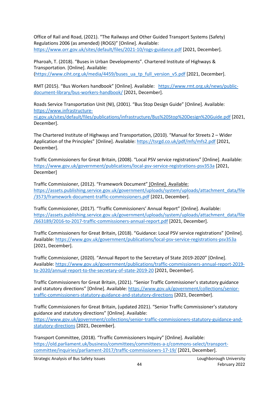Office of Rail and Road, (2021). "The Railways and Other Guided Transport Systems (Safety) Regulations 2006 (as amended) (ROGS)" [Online]. Available: <https://www.orr.gov.uk/sites/default/files/2021-10/rogs-guidance.pdf> [2021, December].

Pharoah, T. (2018). "Buses in Urban Developments". Chartered Institute of Highways & Transportation. [Online]. Available: [\(https://www.ciht.org.uk/media/4459/buses\\_ua\\_tp\\_full\\_version\\_v5.pdf](https://www.ciht.org.uk/media/4459/buses_ua_tp_full_version_v5.pdf) [2021, December].

RMT (2015). "Bus Workers handbook" [Online]. Available: [https://www.rmt.org.uk/news/public](https://www.rmt.org.uk/news/public-document-library/bus-workers-handbook/)[document-library/bus-workers-handbook/](https://www.rmt.org.uk/news/public-document-library/bus-workers-handbook/) [2021, December].

Roads Service Transportation Unit (NI), (2001). "Bus Stop Design Guide" [Online]. Available: [https://www.infrastructure-](https://www.infrastructure-ni.gov.uk/sites/default/files/publications/infrastructure/Bus%20Stop%20Design%20Guide.pdf)

[ni.gov.uk/sites/default/files/publications/infrastructure/Bus%20Stop%20Design%20Guide.pdf](https://www.infrastructure-ni.gov.uk/sites/default/files/publications/infrastructure/Bus%20Stop%20Design%20Guide.pdf) [2021, December].

The Chartered Institute of Highways and Transportation, (2010). "Manual for Streets 2 – Wider Application of the Principles" [Online]. Available:<https://tsrgd.co.uk/pdf/mfs/mfs2.pdf> [2021, December].

Traffic Commissioners for Great Britain, (2008). "Local PSV service registrations" [Online]. Available: <https://www.gov.uk/government/publications/local-psv-service-registrations-psv353a> [2021, December]

Traffic Commissioner, (2012). "Framework Document" [Online]. Available: [https://assets.publishing.service.gov.uk/government/uploads/system/uploads/attachment\\_data/file](https://assets.publishing.service.gov.uk/government/uploads/system/uploads/attachment_data/file/3573/framework-document-traffic-commissioners.pdf) [/3573/framework-document-traffic-commissioners.pdf](https://assets.publishing.service.gov.uk/government/uploads/system/uploads/attachment_data/file/3573/framework-document-traffic-commissioners.pdf) [2021, December].

Traffic Commissioner, (2017). "Traffic Commissioners' Annual Report" [Online]. Available: [https://assets.publishing.service.gov.uk/government/uploads/system/uploads/attachment\\_data/file](https://assets.publishing.service.gov.uk/government/uploads/system/uploads/attachment_data/file/663189/2016-to-2017-traffic-commissioners-annual-report.pdf) [/663189/2016-to-2017-traffic-commissioners-annual-report.pdf](https://assets.publishing.service.gov.uk/government/uploads/system/uploads/attachment_data/file/663189/2016-to-2017-traffic-commissioners-annual-report.pdf) [2021, December].

Traffic Commissioners for Great Britain, (2018). "Guidance: Local PSV service registrations" [Online]. Available:<https://www.gov.uk/government/publications/local-psv-service-registrations-psv353a> [2021, December].

Traffic Commissioner, (2020). "Annual Report to the Secretary of State 2019-2020" [Online]. Available: [https://www.gov.uk/government/publications/traffic-commissioners-annual-report-2019](https://www.gov.uk/government/publications/traffic-commissioners-annual-report-2019-to-2020/annual-report-to-the-secretary-of-state-2019-20) [to-2020/annual-report-to-the-secretary-of-state-2019-20](https://www.gov.uk/government/publications/traffic-commissioners-annual-report-2019-to-2020/annual-report-to-the-secretary-of-state-2019-20) [2021, December].

Traffic Commissioners for Great Britain, (2021). "Senior Traffic Commissioner's statutory guidance and statutory directions" [Online]. Available: [https://www.gov.uk/government/collections/senior](https://www.gov.uk/government/collections/senior-traffic-commissioners-statutory-guidance-and-statutory-directions)[traffic-commissioners-statutory-guidance-and-statutory-directions](https://www.gov.uk/government/collections/senior-traffic-commissioners-statutory-guidance-and-statutory-directions) [2021, December].

Traffic Commissioners for Great Britain, (updated 2021). "Senior Traffic Commissioner's statutory guidance and statutory directions" [Online]. Available: [https://www.gov.uk/government/collections/senior-traffic-commissioners-statutory-guidance-and](https://www.gov.uk/government/collections/senior-traffic-commissioners-statutory-guidance-and-statutory-directions)[statutory-directions](https://www.gov.uk/government/collections/senior-traffic-commissioners-statutory-guidance-and-statutory-directions) [2021, December].

Transport Committee, (2018). "Traffic Commissioners Inquiry" [Online]. Available: [https://old.parliament.uk/business/committees/committees-a-z/commons-select/transport](https://old.parliament.uk/business/committees/committees-a-z/commons-select/transport-committee/inquiries/parliament-2017/traffic-commissioners-17-19/)[committee/inquiries/parliament-2017/traffic-commissioners-17-19/](https://old.parliament.uk/business/committees/committees-a-z/commons-select/transport-committee/inquiries/parliament-2017/traffic-commissioners-17-19/) [2021, December].

Strategic Analysis of Bus Safety Issues Loughborough University Loughborough University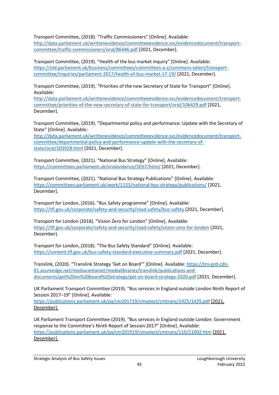Transport Committee, (2018). "Traffic Commissioners" [Online]. Available:

[http://data.parliament.uk/writtenevidence/committeeevidence.svc/evidencedocument/transport](http://data.parliament.uk/writtenevidence/committeeevidence.svc/evidencedocument/transport-committee/traffic-commissioners/oral/86446.pdf)[committee/traffic-commissioners/oral/86446.pdf](http://data.parliament.uk/writtenevidence/committeeevidence.svc/evidencedocument/transport-committee/traffic-commissioners/oral/86446.pdf) [2021, December].

Transport Committee, (2019). "Health of the bus market inquiry" [Online]. Available: [https://old.parliament.uk/business/committees/committees-a-z/commons-select/transport](https://old.parliament.uk/business/committees/committees-a-z/commons-select/transport-committee/inquiries/parliament-2017/health-of-bus-market-17-19/)[committee/inquiries/parliament-2017/health-of-bus-market-17-19/](https://old.parliament.uk/business/committees/committees-a-z/commons-select/transport-committee/inquiries/parliament-2017/health-of-bus-market-17-19/) [2021, December].

Transport Committee, (2019). "Priorities of the new Secretary of State for Transport" [Online]. Available:

[http://data.parliament.uk/writtenevidence/committeeevidence.svc/evidencedocument/transport](http://data.parliament.uk/writtenevidence/committeeevidence.svc/evidencedocument/transport-committee/priorities-of-the-new-secretary-of-state-for-transport/oral/106429.pdf)[committee/priorities-of-the-new-secretary-of-state-for-transport/oral/106429.pdf](http://data.parliament.uk/writtenevidence/committeeevidence.svc/evidencedocument/transport-committee/priorities-of-the-new-secretary-of-state-for-transport/oral/106429.pdf) [2021, December].

Transport Committee, (2019). "Departmental policy and performance: Update with the Secretary of State" [Online]. Available:

[http://data.parliament.uk/writtenevidence/committeeevidence.svc/evidencedocument/transport](http://data.parliament.uk/writtenevidence/committeeevidence.svc/evidencedocument/transport-committee/departmental-policy-and-performance-update-with-the-secretary-of-state/oral/103928.html)[committee/departmental-policy-and-performance-update-with-the-secretary-of](http://data.parliament.uk/writtenevidence/committeeevidence.svc/evidencedocument/transport-committee/departmental-policy-and-performance-update-with-the-secretary-of-state/oral/103928.html)[state/oral/103928.html](http://data.parliament.uk/writtenevidence/committeeevidence.svc/evidencedocument/transport-committee/departmental-policy-and-performance-update-with-the-secretary-of-state/oral/103928.html) [2021, December].

Transport Committee, (2021). "National Bus Strategy" [Online]. Available: <https://committees.parliament.uk/oralevidence/2057/html/> [2021, December].

Transport Committee, (2021). "National Bus Strategy Publications" [Online]. Available: <https://committees.parliament.uk/work/1133/national-bus-strategy/publications/> [2021, December].

Transport for London, (2016). "Bus Safety programme" [Online]. Available: <https://tfl.gov.uk/corporate/safety-and-security/road-safety/bus-safety> [2021, December].

Transport for London (2018). "Vision Zero for London" [Online]. Available: <https://tfl.gov.uk/corporate/safety-and-security/road-safety/vision-zero-for-london> [2021, December].

Transport for London, (2018). "The Bus Safety Standard" [Online]. Available: <https://content.tfl.gov.uk/bus-safety-standard-executive-summary.pdf> [2021, December].

Translink, (2020). "Translink Strategy 'Get on Board'" [Online]. Available: [https://trn-prd-cdn-](https://trn-prd-cdn-01.azureedge.net/mediacontainer/medialibraries/translink/publications-and-documents/get%20on%20board%20strategy/get-on-board-strategy-2020.pdf)[01.azureedge.net/mediacontainer/medialibraries/translink/publications-and](https://trn-prd-cdn-01.azureedge.net/mediacontainer/medialibraries/translink/publications-and-documents/get%20on%20board%20strategy/get-on-board-strategy-2020.pdf)[documents/get%20on%20board%20strategy/get-on-board-strategy-2020.pdf](https://trn-prd-cdn-01.azureedge.net/mediacontainer/medialibraries/translink/publications-and-documents/get%20on%20board%20strategy/get-on-board-strategy-2020.pdf) [2021, December].

UK Parliament Transport Committee (2019). "Bus services in England outside London Ninth Report of Session 2017–19" [Online]. Available:

<https://publications.parliament.uk/pa/cm201719/cmselect/cmtrans/1425/1425.pdf> [2021, December].

UK Parliament Transport Committee (2019). "Bus services in England outside London: Government response to the Committee's Ninth Report of Session 2017" [Online]. Available: <https://publications.parliament.uk/pa/cm201919/cmselect/cmtrans/110/11002.htm> [2021, December].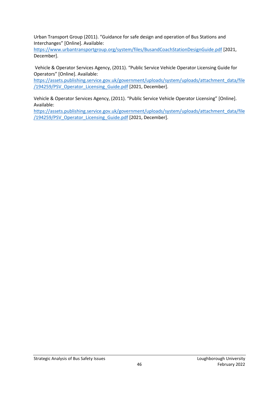Urban Transport Group (2011). "Guidance for safe design and operation of Bus Stations and Interchanges" [Online]. Available:

<https://www.urbantransportgroup.org/system/files/BusandCoachStationDesignGuide.pdf> [2021, December].

Vehicle & Operator Services Agency, (2011). "Public Service Vehicle Operator Licensing Guide for Operators" [Online]. Available:

[https://assets.publishing.service.gov.uk/government/uploads/system/uploads/attachment\\_data/file](https://assets.publishing.service.gov.uk/government/uploads/system/uploads/attachment_data/file/194259/PSV_Operator_Licensing_Guide.pdf) /194259/PSV Operator Licensing Guide.pdf [2021, December].

Vehicle & Operator Services Agency, (2011). "Public Service Vehicle Operator Licensing" [Online]. Available:

[https://assets.publishing.service.gov.uk/government/uploads/system/uploads/attachment\\_data/file](https://assets.publishing.service.gov.uk/government/uploads/system/uploads/attachment_data/file/194259/PSV_Operator_Licensing_Guide.pdf) /194259/PSV Operator Licensing Guide.pdf [2021, December].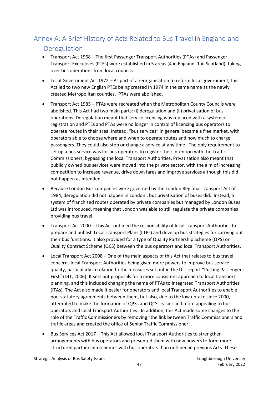# <span id="page-47-0"></span>Annex A: A Brief History of Acts Related to Bus Travel in England and

# Deregulation

- Transport Act 1968 The first Passenger Transport Authorities (PTAs) and Passenger Transport Executives (PTEs) were established in 5 areas (4 in England, 1 in Scotland), taking over bus operations from local councils.
- Local Government Act 1972 As part of a reorganisation to reform local government, this Act led to two new English PTEs being created in 1974 in the same name as the newly created Metropolitan counties. PTAs were abolished.
- Transport Act 1985 PTAs were recreated when the Metropolitan County Councils were abolished. This Act had two main parts: (i) deregulation and (ii) privatisation of bus operations. Deregulation meant that service licencing was replaced with a system of registration and PTEs and PTAs were no longer in control of licencing bus operators to operate routes in their area. Instead, "bus services" in general became a free market, with operators able to choose where and when to operate routes and how much to charge passengers. They could also stop or change a service at any time. The only requirement to set up a bus service was for bus operators to register their intention with the Traffic Commissioners, bypassing the local Transport Authorities. Privatisation also meant that publicly owned bus services were moved into the private sector, with the aim of increasing competition to increase revenue, drive down fares and improve services although this did not happen as intended.
- Because London Bus companies were governed by the London Regional Transport Act of 1984, deregulation did not happen in London., but privatisation of buses did. Instead, a system of franchised routes operated by private companies but managed by London Buses Ltd was introduced, meaning that London was able to still regulate the private companies providing bus travel.
- Transport Act 2000 This Act outlined the responsibility of local Transport Authorities to prepare and publish Local Transport Plans (LTPs) and develop bus strategies for carrying out their bus functions. It also provided for a type of Quality Partnership Scheme (QPS) or Quality Contract Scheme (QCS) between the bus operators and local Transport Authorities.
- Local Transport Act 2008 One of the main aspects of this Act that relates to bus travel concerns local Transport Authorities being given more powers to improve bus service quality, particularly in relation to the measures set out in the DfT report "Putting Passengers First" (DfT, 2006). It sets out proposals for a more consistent approach to local transport planning, and this included changing the name of PTAs to Integrated Transport Authorities (ITAs). The Act also made it easier for operators and local Transport Authorities to enable non-statutory agreements between them, but also, due to the low uptake since 2000, attempted to make the formation of QPSs and QCSs easier and more appealing to bus operators and local Transport Authorities. In addition, this Act made some changes to the role of the Traffic Commissioners by removing "the link between Traffic Commissioners and traffic areas and created the office of Senior Traffic Commissioner".
- Bus Services Act 2017 This Act allowed local Transport Authorities to strengthen arrangements with bus operators and presented them with new powers to form more structured partnership schemes with bus operators than outlined in previous Acts. These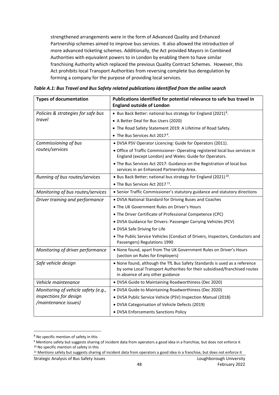strengthened arrangements were in the form of Advanced Quality and Enhanced Partnership schemes aimed to improve bus services. It also allowed the introduction of more advanced ticketing schemes. Additionally, the Act provided Mayors in Combined Authorities with equivalent powers to in London by enabling them to have similar franchising Authority which replaced the previous Quality Contract Schemes. However, this Act prohibits local Transport Authorities from reversing complete bus deregulation by forming a company for the purpose of providing local services.

| <b>Types of documentation</b>       | Publications identified for potential relevance to safe bus travel in<br><b>England outside of London</b>                                                                                    |  |  |
|-------------------------------------|----------------------------------------------------------------------------------------------------------------------------------------------------------------------------------------------|--|--|
| Policies & strategies for safe bus  | • Bus Back Better: national bus strategy for England (2021).8.                                                                                                                               |  |  |
| travel                              | • A Better Deal for Bus Users (2020)                                                                                                                                                         |  |  |
|                                     | • The Road Safety Statement 2019: A Lifetime of Road Safety.                                                                                                                                 |  |  |
|                                     | • The Bus Services Act 2017.9.                                                                                                                                                               |  |  |
| Commissioning of bus                | . DVSA PSV Operator Licencing: Guide for Operators (2011).                                                                                                                                   |  |  |
| routes/services                     | • Office of Traffic Commissioner-Operating registered local bus services in<br>England (except London) and Wales: Guide for Operators.                                                       |  |  |
|                                     | • The Bus Services Act 2017: Guidance on the Registration of local bus<br>services in an Enhanced Partnership Area.                                                                          |  |  |
| Running of bus routes/services      | • Bus Back Better; national bus strategy for England (2021).10.                                                                                                                              |  |  |
|                                     | • The Bus Services Act 2017. <sup>11</sup> .                                                                                                                                                 |  |  |
| Monitoring of bus routes/services   | • Senior Traffic Commissioner's statutory guidance and statutory directions                                                                                                                  |  |  |
| Driver training and performance     | . DVSA National Standard for Driving Buses and Coaches                                                                                                                                       |  |  |
|                                     | . The UK Government Rules on Driver's Hours                                                                                                                                                  |  |  |
|                                     | • The Driver Certificate of Professional Competence (CPC)                                                                                                                                    |  |  |
|                                     | · DVSA Guidance for Drivers: Passenger Carrying Vehicles (PCV)                                                                                                                               |  |  |
|                                     | • DVSA Safe Driving for Life                                                                                                                                                                 |  |  |
|                                     | . The Public Service Vehicles (Conduct of Drivers, Inspectors, Conductors and<br>Passengers) Regulations 1990                                                                                |  |  |
| Monitoring of driver performance    | . None found, apart from The UK Government Rules on Driver's Hours<br>(section on Rules for Employers)                                                                                       |  |  |
| Safe vehicle design                 | . None found, although the TfL Bus Safety Standards is used as a reference<br>by some Local Transport Authorities for their subsidised/franchised routes<br>in absence of any other guidance |  |  |
| Vehicle maintenance                 | · DVSA Guide to Maintaining Roadworthiness (Dec 2020)                                                                                                                                        |  |  |
| Monitoring of vehicle safety (e.g., | · DVSA Guide to Maintaining Roadworthiness (Dec 2020)                                                                                                                                        |  |  |
| inspections for design              | · DVSA Public Service Vehicle (PSV) Inspection Manual (2018)                                                                                                                                 |  |  |
| /maintenance issues)                | · DVSA Categorisation of Vehicle Defects (2019)                                                                                                                                              |  |  |
|                                     | • DVSA Enforcements Sanctions Policy                                                                                                                                                         |  |  |

*Table A.1: Bus Travel and Bus Safety related publications Identified from the online search* 

<sup>8</sup> No specific mention of safety in this

<sup>9</sup> Mentions safety but suggests sharing of incident data from operators a good idea in a franchise, but does not enforce it <sup>10</sup> No specific mention of safety in this

<sup>&</sup>lt;sup>11</sup> Mentions safety but suggests sharing of incident data from operators a good idea in a franchise, but does not enforce it

Strategic Analysis of Bus Safety Issues Loughborough University Loughborough University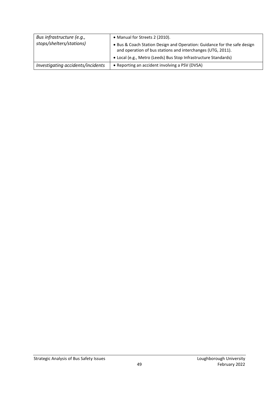| Bus infrastructure (e.g.,         | • Manual for Streets 2 (2010).                                                                                                          |  |
|-----------------------------------|-----------------------------------------------------------------------------------------------------------------------------------------|--|
| stops/shelters/stations)          | • Bus & Coach Station Design and Operation: Guidance for the safe design<br>and operation of bus stations and interchanges (UTG, 2011). |  |
|                                   | • Local (e.g., Metro (Leeds) Bus Stop Infrastructure Standards)                                                                         |  |
| Investigating accidents/incidents | • Reporting an accident involving a PSV (DVSA)                                                                                          |  |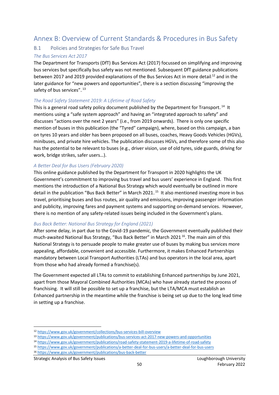## <span id="page-50-0"></span>Annex B: Overview of Current Standards & Procedures in Bus Safety

#### <span id="page-50-1"></span>B.1 Policies and Strategies for Safe Bus Travel

#### *The Bus Services Act 2017*

The Department for Transports (DfT) Bus Services Act (2017) focussed on simplifying and improving bus services but specifically bus safety was not mentioned. Subsequent DfT guidance publications between 2017 and 2019 provided explanations of the Bus Services Act in more detail.<sup>12</sup> and in the later guidance for "new powers and opportunities", there is a section discussing "improving the safety of bus services"..<sup>13</sup>

#### *The Road Safety Statement 2019: A Lifetime of Road Safety*

This is a general road safety policy document published by the Department for Transport.<sup>14</sup> It mentions using a "safe system approach" and having an "integrated approach to safety" and discusses "actions over the next 2 years" (i.e., from 2019 onwards). There is only one specific mention of buses in this publication (the "Tyred" campaign), where, based on this campaign, a ban on tyres 10 years and older has been proposed on all buses, coaches, Heavy Goods Vehicles (HGVs), minibuses, and private hire vehicles. The publication discusses HGVs, and therefore some of this also has the potential to be relevant to buses (e.g., driver vision, use of old tyres, side guards, driving for work, bridge strikes, safer users…).

#### *A Better Deal for Bus Users (February 2020)*

This online guidance published by the Department for Transport in 2020 highlights the UK Government's commitment to improving bus travel and bus users' experience in England. This first mentions the introduction of a National Bus Strategy which would eventually be outlined in more detail in the publication "Bus Back Better" in March 2021.<sup>15</sup> It also mentioned investing more in bus travel, prioritising buses and bus routes, air quality and emissions, improving passenger information and publicity, improving fares and payment systems and supporting on-demand services. However, there is no mention of any safety-related issues being included in the Government's plans.

#### *Bus Back Better: National Bus Strategy for England (2021)*

After some delay, in part due to the Covid-19 pandemic, the Government eventually published their much-awaited National Bus Strategy, "Bus Back Better" in March 2021.<sup>16</sup>. The main aim of this National Strategy is to persuade people to make greater use of buses by making bus services more appealing, affordable, convenient and accessible. Furthermore, it makes Enhanced Partnerships mandatory between Local Transport Authorities (LTAs) and bus operators in the local area, apart from those who had already formed a franchise(s).

The Government expected all LTAs to commit to establishing Enhanced partnerships by June 2021, apart from those Mayoral Combined Authorities (MCAs) who have already started the process of franchising. It will still be possible to set up a franchise, but the LTA/MCA must establish an Enhanced partnership in the meantime while the franchise is being set up due to the long lead time in setting up a franchise.

- <sup>13</sup> <https://www.gov.uk/government/publications/bus-services-act-2017-new-powers-and-opportunities>
- <sup>14</sup> <https://www.gov.uk/government/publications/road-safety-statement-2019-a-lifetime-of-road-safety>
- <sup>15</sup> <https://www.gov.uk/government/publications/a-better-deal-for-bus-users/a-better-deal-for-bus-users>
- <sup>16</sup> <https://www.gov.uk/government/publications/bus-back-better>

Strategic Analysis of Bus Safety Issues Loughborough University Loughborough University

<sup>12</sup> <https://www.gov.uk/government/collections/bus-services-bill-overview>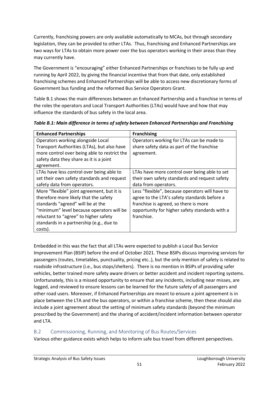Currently, franchising powers are only available automatically to MCAs, but through secondary legislation, they can be provided to other LTAs. Thus, franchising and Enhanced Partnerships are two ways for LTAs to obtain more power over the bus operators working in their areas than they may currently have.

The Government is "encouraging" either Enhanced Partnerships or franchises to be fully up and running by April 2022, by giving the financial incentive that from that date, only established franchising schemes and Enhanced Partnerships will be able to access new discretionary forms of Government bus funding and the reformed Bus Service Operators Grant.

Table B.1 shows the main differences between an Enhanced Partnership and a franchise in terms of the roles the operators and Local Transport Authorities (LTAs) would have and how that may influence the standards of bus safety in the local area.

| <b>Enhanced Partnerships</b>                 | <b>Franchising</b>                              |  |  |
|----------------------------------------------|-------------------------------------------------|--|--|
| Operators working alongside Local            | Operators working for LTAs can be made to       |  |  |
| Transport Authorities (LTAs), but also have  | share safety data as part of the franchise      |  |  |
| more control over being able to restrict the | agreement.                                      |  |  |
| safety data they share as it is a joint      |                                                 |  |  |
| agreement.                                   |                                                 |  |  |
| LTAs have less control over being able to    | LTAs have more control over being able to set   |  |  |
| set their own safety standards and request   | their own safety standards and request safety   |  |  |
| safety data from operators.                  | data from operators.                            |  |  |
| More "flexible" joint agreement, but it is   | Less "flexible", because operators will have to |  |  |
| therefore more likely that the safety        | agree to the LTA's safety standards before a    |  |  |
| standards "agreed" will be at the            | franchise is agreed, so there is more           |  |  |
| "minimum" level because operators will be    | opportunity for higher safety standards with a  |  |  |
| reluctant to "agree" to higher safety        | franchise.                                      |  |  |
| standards in a partnership (e.g., due to     |                                                 |  |  |
| costs).                                      |                                                 |  |  |

*Table B.1: Main difference in terms of safety between Enhanced Partnerships and Franchising*

Embedded in this was the fact that all LTAs were expected to publish a Local Bus Service Improvement Plan (BSIP) before the end of October 2021. These BSIPs discuss improving services for passengers (routes, timetables, punctuality, pricing etc..), but the only mention of safety is related to roadside infrastructure (i.e., bus stops/shelters). There is no mention in BSIPs of providing safer vehicles, better trained more safety aware drivers or better accident and incident reporting systems. Unfortunately, this is a missed opportunity to ensure that any incidents, including near misses, are logged, and reviewed to ensure lessons can be learned for the future safety of all passengers and other road users. Moreover, if Enhanced Partnerships are meant to ensure a joint agreement is in place between the LTA and the bus operators, or within a franchise scheme, then these should also include a joint agreement about the setting of minimum safety standards (beyond the minimum prescribed by the Government) and the sharing of accident/incident information between operator and LTA.

## <span id="page-51-0"></span>B.2 Commissioning, Running, and Monitoring of Bus Routes/Services

Various other guidance exists which helps to inform safe bus travel from different perspectives.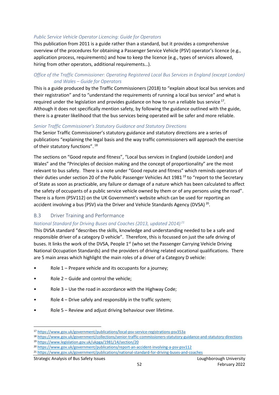#### *Public Service Vehicle Operator Licencing: Guide for Operators*

This publication from 2011 is a guide rather than a standard, but it provides a comprehensive overview of the procedures for obtaining a Passenger Service Vehicle (PSV) operator's licence (e.g., application process, requirements) and how to keep the licence (e.g., types of services allowed, hiring from other operators, additional requirements…).

#### *Office of the Traffic Commissioner: Operating Registered Local Bus Services in England (except London) and Wales – Guide for Operators*

This is a guide produced by the Traffic Commissioners (2018) to "explain about local bus services and their registration" and to "understand the requirements of running a local bus service" and what is required under the legislation and provides guidance on how to run a reliable bus service.<sup>17</sup>. Although it does not specifically mention safety, by following the guidance outlined with the guide, there is a greater likelihood that the bus services being operated will be safer and more reliable.

#### *Senior Traffic Commissioner's Statutory Guidance and Statutory Directions*

The Senior Traffic Commissioner's statutory guidance and statutory directions are a series of publications "explaining the legal basis and the way traffic commissioners will approach the exercise of their statutory functions".<sup>18</sup>

The sections on "Good repute and fitness", "Local bus services in England (outside London) and Wales" and the "Principles of decision making and the concept of proportionality" are the most relevant to bus safety. There is a note under "Good repute and fitness" which reminds operators of their duties under section 20 of the Public Passenger Vehicles Act 1981<sup>19</sup> to "report to the Secretary of State as soon as practicable, any failure or damage of a nature which has been calculated to affect the safety of occupants of a public service vehicle owned by them or of any persons using the road". There is a form (PSV112) on the UK Government's website which can be used for reporting an accident involving a bus (PSV) via the Driver and Vehicle Standards Agency (DVSA).<sup>20</sup>.

#### <span id="page-52-0"></span>B.3 Driver Training and Performance

#### National Standard for Driving Buses and Coaches (2013, updated 2014).<sup>21</sup>

This DVSA standard "describes the skills, knowledge and understanding needed to be a safe and responsible driver of a category D vehicle". Therefore, this is focussed on just the safe driving of buses. It links the work of the DVSA, People 1<sup>st</sup> (who set the Passenger Carrying Vehicle Driving National Occupation Standards) and the providers of driving related vocational qualifications. There are 5 main areas which highlight the main roles of a driver of a Category D vehicle:

- Role  $1$  Prepare vehicle and its occupants for a journey;
- Role  $2$  Guide and control the vehicle;
- Role 3 Use the road in accordance with the Highway Code;
- Role 4 Drive safely and responsibly in the traffic system;
- Role 5 Review and adjust driving behaviour over lifetime.

<sup>17</sup> <https://www.gov.uk/government/publications/local-psv-service-registrations-psv353a>

<sup>18</sup> <https://www.gov.uk/government/collections/senior-traffic-commissioners-statutory-guidance-and-statutory-directions>

<sup>19</sup> <https://www.legislation.gov.uk/ukpga/1981/14/section/20>

<sup>20</sup> <https://www.gov.uk/government/publications/report-an-accident-involving-a-psv-psv112>

<sup>21</sup> <https://www.gov.uk/government/publications/national-standard-for-driving-buses-and-coaches>

Strategic Analysis of Bus Safety Issues Loughborough University Loughborough University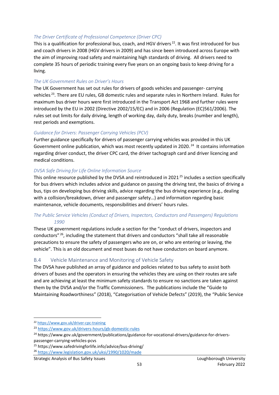#### *The Driver Certificate of Professional Competence (Driver CPC)*

This is a qualification for professional bus, coach, and HGV drivers.<sup>22</sup>. It was first introduced for bus and coach drivers in 2008 (HGV drivers in 2009) and has since been introduced across Europe with the aim of improving road safety and maintaining high standards of driving. All drivers need to complete 35 hours of periodic training every five years on an ongoing basis to keep driving for a living.

#### *The UK Government Rules on Driver's Hours*

The UK Government has set out rules for drivers of goods vehicles and passenger- carrying vehicles<sup>23</sup>. There are EU rules, GB domestic rules and separate rules in Northern Ireland. Rules for maximum bus driver hours were first introduced in the Transport Act 1968 and further rules were introduced by the EU in 2002 (Directive 2002/15/EC) and in 2006 (Regulation (EC)561/2006). The rules set out limits for daily driving, length of working day, daily duty, breaks (number and length), rest periods and exemptions.

#### *Guidance for Drivers: Passenger Carrying Vehicles (PCV)*

Further guidance specifically for drivers of passenger carrying vehicles was provided in this UK Government online publication, which was most recently updated in 2020.<sup>24</sup> It contains information regarding driver conduct, the driver CPC card, the driver tachograph card and driver licencing and medical conditions.

#### *DVSA Safe Driving for Life Online Information Source*

This online resource published by the DVSA and reintroduced in 2021.<sup>25</sup> includes a section specifically for bus drivers which includes advice and guidance on passing the driving test, the basics of driving a bus, tips on developing bus driving skills, advice regarding the bus driving experience (e.g., dealing with a collision/breakdown, driver and passenger safety…) and information regarding basic maintenance, vehicle documents, responsibilities and drivers' hours rules.

#### *The Public Service Vehicles (Conduct of Drivers, Inspectors, Conductors and Passengers) Regulations 1990*

These UK government regulations include a section for the "conduct of drivers, inspectors and conductors"<sup>26</sup>, including the statement that drivers and conductors "shall take all reasonable precautions to ensure the safety of passengers who are on, or who are entering or leaving, the vehicle". This is an old document and most buses do not have conductors on board anymore.

#### <span id="page-53-0"></span>B.4 Vehicle Maintenance and Monitoring of Vehicle Safety

The DVSA have published an array of guidance and policies related to bus safety to assist both drivers of buses and the operators in ensuring the vehicles they are using on their routes are safe and are achieving at least the minimum safety standards to ensure no sanctions are taken against them by the DVSA and/or the Traffic Commissioners. The publications include the "Guide to Maintaining Roadworthiness" (2018), "Categorisation of Vehicle Defects" (2019), the "Public Service

<sup>22</sup> <https://www.gov.uk/driver-cpc-training>

<sup>23</sup> <https://www.gov.uk/drivers-hours/gb-domestic-rules>

<sup>&</sup>lt;sup>24</sup> https://www.gov.uk/government/publications/guidance-for-vocational-drivers/guidance-for-driverspassenger-carrying-vehicles-pcvs

<sup>25</sup> https://www.safedrivingforlife.info/advice/bus-driving/

<sup>26</sup> <https://www.legislation.gov.uk/uksi/1990/1020/made>

Strategic Analysis of Bus Safety Issues Loughborough University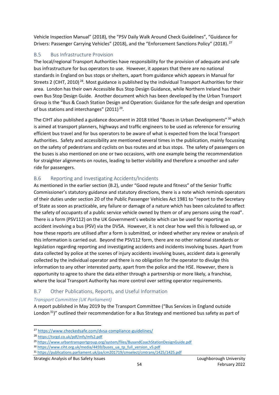Vehicle Inspection Manual" (2018), the "PSV Daily Walk Around Check Guidelines", "Guidance for Drivers: Passenger Carrying Vehicles" (2018), and the "Enforcement Sanctions Policy" (2018).<sup>27</sup>

#### <span id="page-54-0"></span>B.5 Bus Infrastructure Provision

The local/regional Transport Authorities have responsibility for the provision of adequate and safe bus infrastructure for bus operators to use. However, it appears that there are no national standards in England on bus stops or shelters, apart from guidance which appears in Manual for Streets 2 (CIHT, 2010)<sup>28</sup>. Most guidance is published by the individual Transport Authorities for their area. London has their own Accessible Bus Stop Design Guidance, while Northern Ireland has their own Bus Stop Design Guide. Another document which has been developed by the Urban Transport Group is the "Bus & Coach Station Design and Operation: Guidance for the safe design and operation of bus stations and interchanges" (2011).<sup>29</sup>.

The CIHT also published a guidance document in 2018 titled "Buses in Urban Developments".<sup>30</sup> which is aimed at transport planners, highways and traffic engineers to be used as reference for ensuring efficient bus travel and for bus operators to be aware of what is expected from the local Transport Authorities. Safety and accessibility are mentioned several times in the publication, mainly focussing on the safety of pedestrians and cyclists on bus routes and at bus stops. The safety of passengers on the buses is also mentioned on one or two occasions, with one example being the recommendation for straighter alignments on routes, leading to better visibility and therefore a smoother and safer ride for passengers.

## <span id="page-54-1"></span>B.6 Reporting and Investigating Accidents/Incidents

As mentioned in the earlier section (B.2), under "Good repute and fitness" of the Senior Traffic Commissioner's statutory guidance and statutory directions, there is a note which reminds operators of their duties under section 20 of the Public Passenger Vehicles Act 1981 to "report to the Secretary of State as soon as practicable, any failure or damage of a nature which has been calculated to affect the safety of occupants of a public service vehicle owned by them or of any persons using the road". There is a form (PSV112) on the UK Government's website which can be used for reporting an accident involving a bus (PSV) via the DVSA. However, it is not clear how well this is followed up, or how these reports are utilised after a form is submitted, or indeed whether any review or analysis of this information is carried out. Beyond the PSV112 form, there are no other national standards or legislation regarding reporting and investigating accidents and incidents involving buses. Apart from data collected by police at the scenes of injury accidents involving buses, accident data is generally collected by the individual operator and there is no obligation for the operator to divulge this information to any other interested party, apart from the police and the HSE. However, there is opportunity to agree to share the data either through a partnership or more likely, a franchise, where the local Transport Authority has more control over setting operator requirements.

## <span id="page-54-2"></span>B.7 Other Publications, Reports, and Useful Information

#### *Transport Committee (UK Parliament)*

A report published in May 2019 by the Transport Committee ("Bus Services in England outside London.<sup>31</sup>)" outlined their recommendation for a Bus Strategy and mentioned bus safety as part of

- 30 [https://www.ciht.org.uk/media/4459/buses\\_ua\\_tp\\_full\\_version\\_v5.pdf](https://www.ciht.org.uk/media/4459/buses_ua_tp_full_version_v5.pdf)
- <sup>31</sup> <https://publications.parliament.uk/pa/cm201719/cmselect/cmtrans/1425/1425.pdf>

<sup>27</sup> <https://www.checkedsafe.com/dvsa-compliance-guidelines/>

<sup>28</sup> <https://tsrgd.co.uk/pdf/mfs/mfs2.pdf>

<sup>29</sup> <https://www.urbantransportgroup.org/system/files/BusandCoachStationDesignGuide.pdf>

Strategic Analysis of Bus Safety Issues Loughborough University Loughborough University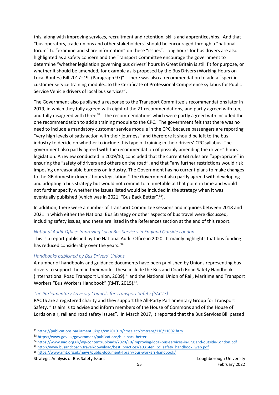this, along with improving services, recruitment and retention, skills and apprenticeships. And that "bus operators, trade unions and other stakeholders" should be encouraged through a "national forum" to "examine and share information" on these "issues". Long hours for bus drivers are also highlighted as a safety concern and the Transport Committee encourage the government to determine "whether legislation governing bus drivers' hours in Great Britain is still fit for purpose, or whether it should be amended, for example as is proposed by the Bus Drivers (Working Hours on Local Routes) Bill 2017–19. (Paragraph 97)". There was also a recommendation to add a "specific customer service training module…to the Certificate of Professional Competence syllabus for Public Service Vehicle drivers of local bus services".

The Government also published a response to the Transport Committee's recommendations later in 2019, in which they fully agreed with eight of the 21 recommendations, and partly agreed with ten, and fully disagreed with three.<sup>32</sup>. The recommendations which were partly agreed with included the one recommendation to add a training module to the CPC. The government felt that there was no need to include a mandatory customer service module in the CPC, because passengers are reporting "very high levels of satisfaction with their journeys" and therefore it should be left to the bus industry to decide on whether to include this type of training in their drivers' CPC syllabus. The government also partly agreed with the recommendation of possibly amending the drivers' hours legislation. A review conducted in 2009/10, concluded that the current GB rules are "appropriate" in ensuring the "safety of drivers and others on the road", and that "any further restrictions would risk imposing unreasonable burdens on industry. The Government has no current plans to make changes to the GB domestic drivers' hours legislation." The Government also partly agreed with developing and adopting a bus strategy but would not commit to a timetable at that point in time and would not further specify whether the issues listed would be included in the strategy when it was eventually published (which was in 2021: "Bus Back Better".<sup>33</sup>).

In addition, there were a number of Transport Committee sessions and inquiries between 2018 and 2021 in which either the National Bus Strategy or other aspects of bus travel were discussed, including safety issues, and these are listed in the References section at the end of this report.

#### *National Audit Office: Improving Local Bus Services in England Outside London*

This is a report published by the National Audit Office in 2020. It mainly highlights that bus funding has reduced considerably over the years.<sup>34</sup>

#### *Handbooks published by Bus Drivers' Unions*

A number of handbooks and guidance documents have been published by Unions representing bus drivers to support them in their work. These include the Bus and Coach Road Safety Handbook (International Road Transport Union, 2009).<sup>35</sup> and the National Union of Rail, Maritime and Transport Workers "Bus Workers Handbook" (RMT, 2015).<sup>36</sup>.

#### *The Parliamentary Advisory Councils for Transport Safety (PACTS)*

PACTS are a registered charity and they support the All-Party Parliamentary Group for Transport Safety. "Its aim is to advise and inform members of the House of Commons and of the House of Lords on air, rail and road safety issues". In March 2017, it reported that the Bus Services Bill passed

#### Strategic Analysis of Bus Safety Issues Loughborough University Loughborough University

<sup>32</sup> <https://publications.parliament.uk/pa/cm201919/cmselect/cmtrans/110/11002.htm>

<sup>33</sup> <https://www.gov.uk/government/publications/bus-back-better>

<sup>34</sup> <https://www.nao.org.uk/wp-content/uploads/2020/10/Improving-local-bus-services-in-England-outside-London.pdf>

<sup>35</sup> [http://www.busandcoach.travel/download/best\\_practices/e0314en\\_bc\\_safety\\_handbook\\_web.pdf](http://www.busandcoach.travel/download/best_practices/e0314en_bc_safety_handbook_web.pdf)

<sup>36</sup> <https://www.rmt.org.uk/news/public-document-library/bus-workers-handbook/>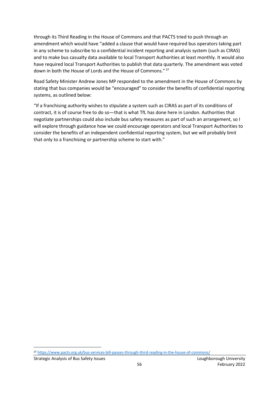through its Third Reading in the House of Commons and that PACTS tried to push through an amendment which would have "added a clause that would have required bus operators taking part in any scheme to subscribe to a confidential incident reporting and analysis system (such as CIRAS) and to make bus casualty data available to local Transport Authorities at least monthly. It would also have required local Transport Authorities to publish that data quarterly. The amendment was voted down in both the House of Lords and the House of Commons."<sup>37</sup>

Road Safety Minister Andrew Jones MP responded to the amendment in the House of Commons by stating that bus companies would be "encouraged" to consider the benefits of confidential reporting systems, as outlined below:

"If a franchising authority wishes to stipulate a system such as CIRAS as part of its conditions of contract, it is of course free to do so—that is what TfL has done here in London. Authorities that negotiate partnerships could also include bus safety measures as part of such an arrangement, so I will explore through guidance how we could encourage operators and local Transport Authorities to consider the benefits of an independent confidential reporting system, but we will probably limit that only to a franchising or partnership scheme to start with."

<sup>37</sup> <https://www.pacts.org.uk/bus-services-bill-passes-through-third-reading-in-the-house-of-commons/>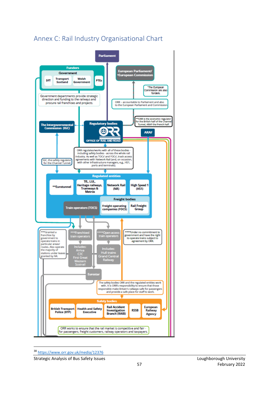# <span id="page-57-0"></span>Annex C: Rail Industry Organisational Chart



<sup>38</sup> <https://www.orr.gov.uk/media/12376>

Strategic Analysis of Bus Safety Issues Loughborough University Loughborough University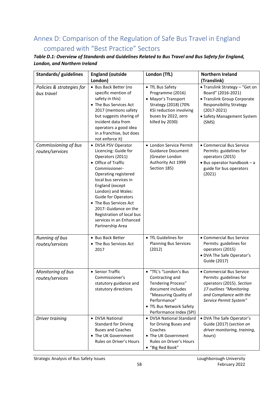# <span id="page-58-0"></span>Annex D: Comparison of the Regulation of Safe Bus Travel in England compared with "Best Practice" Sectors

#### *Table D.1: Overview of Standards and Guidelines Related to Bus Travel and Bus Safety for England, London, and Northern Ireland*

| Standards/ guidelines                                                              | <b>England (outside</b>                                                                                                                                                                                                                                                                                                                                                                                                                                                                                                                                                                                | London (TfL)                                                                                                                                                                                                                                                             | <b>Northern Ireland</b>                                                                                                                                                                                                                                                                                                                |
|------------------------------------------------------------------------------------|--------------------------------------------------------------------------------------------------------------------------------------------------------------------------------------------------------------------------------------------------------------------------------------------------------------------------------------------------------------------------------------------------------------------------------------------------------------------------------------------------------------------------------------------------------------------------------------------------------|--------------------------------------------------------------------------------------------------------------------------------------------------------------------------------------------------------------------------------------------------------------------------|----------------------------------------------------------------------------------------------------------------------------------------------------------------------------------------------------------------------------------------------------------------------------------------------------------------------------------------|
|                                                                                    | London)                                                                                                                                                                                                                                                                                                                                                                                                                                                                                                                                                                                                |                                                                                                                                                                                                                                                                          | (Translink)                                                                                                                                                                                                                                                                                                                            |
| Policies & strategies for<br>bus travel<br>Commissioning of bus<br>routes/services | • Bus Back Better (no<br>specific mention of<br>safety in this)<br>• The Bus Services Act<br>2017 (mentions safety<br>but suggests sharing of<br>incident data from<br>operators a good idea<br>in a franchise, but does<br>not enforce it)<br>• DVSA PSV Operator<br>Licencing: Guide for<br>Operators (2011)<br>• Office of Traffic<br>Commissioner-<br>Operating registered<br>local bus services in<br>England (except<br>London) and Wales:<br>Guide for Operators<br>• The Bus Services Act<br>2017: Guidance on the<br>Registration of local bus<br>services in an Enhanced<br>Partnership Area | • TfL Bus Safety<br>Programme (2016)<br>• Mayor's Transport<br>Strategy (2018) (70%<br>KSI reduction involving<br>buses by 2022, zero<br>killed by 2030)<br>• London Service Permit<br><b>Guidance Document</b><br>(Greater London<br>Authority Act 1999<br>Section 185) | • Translink Strategy - "Get on<br>Board" (2016-2021)<br>• Translink Group Corporate<br><b>Responsibility Strategy</b><br>$(2017 - 2021)$<br>• Safety Management System<br>(SMS)<br>• Commercial Bus Service<br>Permits: guidelines for<br>operators (2015)<br>$\bullet$ Bus operator handbook - a<br>guide for bus operators<br>(2021) |
| Running of bus<br>routes/services                                                  | • Bus Back Better<br>• The Bus Services Act<br>2017                                                                                                                                                                                                                                                                                                                                                                                                                                                                                                                                                    | • TfL Guidelines for<br><b>Planning Bus Services</b><br>(2012)                                                                                                                                                                                                           | • Commercial Bus Service<br>Permits: guidelines for<br>operators (2015)<br>• DVA The Safe Operator's<br>Guide (2017)                                                                                                                                                                                                                   |
| Monitoring of bus<br>routes/services                                               | • Senior Traffic<br>Commissioner's<br>statutory guidance and<br>statutory directions                                                                                                                                                                                                                                                                                                                                                                                                                                                                                                                   | · "TfL's "London's Bus<br>Contracting and<br><b>Tendering Process"</b><br>document includes<br>"Measuring Quality of<br>Performance"<br>• TfL Bus Network Safety<br>Performance Index (SPI)                                                                              | • Commercial Bus Service<br>Permits: guidelines for<br>operators (2015). Section<br>17 outlines "Monitoring<br>and Compliance with the<br>Service Permit System"                                                                                                                                                                       |
| Driver training                                                                    | • DVSA National<br><b>Standard for Driving</b><br><b>Buses and Coaches</b><br>• The UK Government<br>Rules on Driver's Hours                                                                                                                                                                                                                                                                                                                                                                                                                                                                           | • DVSA National Standard<br>for Driving Buses and<br>Coaches<br>• The UK Government<br>Rules on Driver's Hours<br>• "Big Red Book"                                                                                                                                       | • DVA The Safe Operator's<br>Guide (2017) (section on<br>driver monitoring, training,<br>hours)                                                                                                                                                                                                                                        |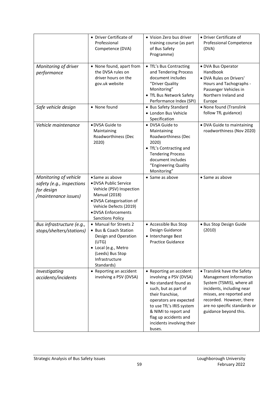|                                                                                          | • Driver Certificate of<br>Professional<br>Competence (DVA)                                                                                                                                          | • Vision Zero bus driver<br>training course (as part<br>of Bus Safety<br>Programme)                                                                                                                                                                                   | • Driver Certificate of<br><b>Professional Competence</b><br>(DVA)                                                                                                                                                               |
|------------------------------------------------------------------------------------------|------------------------------------------------------------------------------------------------------------------------------------------------------------------------------------------------------|-----------------------------------------------------------------------------------------------------------------------------------------------------------------------------------------------------------------------------------------------------------------------|----------------------------------------------------------------------------------------------------------------------------------------------------------------------------------------------------------------------------------|
| Monitoring of driver<br>performance                                                      | • None found, apart from<br>the DVSA rules on<br>driver hours on the<br>gov.uk website                                                                                                               | • TfL's Bus Contracting<br>and Tendering Process<br>document includes<br>"Driver Quality<br>Monitoring"<br>• TfL Bus Network Safety<br>Performance Index (SPI)                                                                                                        | · DVA Bus Operator<br>Handbook<br>· DVA Rules on Drivers'<br>Hours and Tachographs -<br>Passenger Vehicles in<br>Northern Ireland and<br>Europe                                                                                  |
| Safe vehicle design                                                                      | • None found                                                                                                                                                                                         | • Bus Safety Standard<br>· London Bus Vehicle<br>Specification                                                                                                                                                                                                        | • None found (Translink<br>follow TfL guidance)                                                                                                                                                                                  |
| Vehicle maintenance                                                                      | · DVSA Guide to<br>Maintaining<br>Roadworthiness (Dec<br>2020)                                                                                                                                       | • DVSA Guide to<br>Maintaining<br>Roadworthiness (Dec<br>2020)<br>• TfL's Contracting and<br><b>Tendering Process</b><br>document includes<br>"Engineering Quality<br>Monitoring"                                                                                     | · DVA Guide to maintaining<br>roadworthiness (Nov 2020)                                                                                                                                                                          |
| Monitoring of vehicle<br>safety (e.g., inspections<br>for design<br>/maintenance issues) | • Same as above<br>• DVSA Public Service<br>Vehicle (PSV) Inspection<br><b>Manual (2018)</b><br>· DVSA Categorisation of<br>Vehicle Defects (2019)<br>· DVSA Enforcements<br><b>Sanctions Policy</b> | • Same as above                                                                                                                                                                                                                                                       | • Same as above                                                                                                                                                                                                                  |
| Bus infrastructure (e.g.,<br>stops/shelters/stations)                                    | • Manual for Streets 2<br>• Bus & Coach Station<br>Design and Operation<br>(UTG)<br>• Local (e.g., Metro<br>(Leeds) Bus Stop<br>Infrastructure<br>Standards)                                         | • Accessible Bus Stop<br>Design Guidance<br>• Interchange Best<br><b>Practice Guidance</b>                                                                                                                                                                            | · Bus Stop Design Guide<br>(2010)                                                                                                                                                                                                |
| Investigating<br>accidents/incidents                                                     | • Reporting an accident<br>involving a PSV (DVSA)                                                                                                                                                    | • Reporting an accident<br>involving a PSV (DVSA)<br>• No standard found as<br>such, but as part of<br>their franchise,<br>operators are expected<br>to use TfL's IRIS system<br>& NIMI to report and<br>flag up accidents and<br>incidents involving their<br>buses. | • Translink have the Safety<br>Management Information<br>System (TSMIS), where all<br>incidents, including near<br>misses, are reported and<br>recorded. However, there<br>are no specific standards or<br>guidance beyond this. |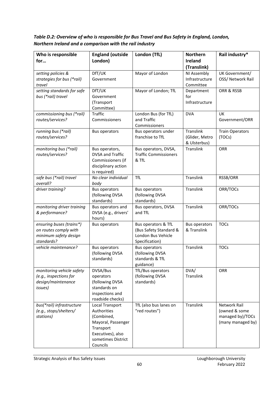*Table D.2: Overview of who is responsible for Bus Travel and Bus Safety in England, London, Northern Ireland and a comparison with the rail industry*

| Who is responsible<br>for                                                                | <b>England (outside</b><br>London)                                                                                                     | London (TfL)                                                                          | <b>Northern</b><br><b>Ireland</b>                  | Rail industry*                                                         |
|------------------------------------------------------------------------------------------|----------------------------------------------------------------------------------------------------------------------------------------|---------------------------------------------------------------------------------------|----------------------------------------------------|------------------------------------------------------------------------|
|                                                                                          |                                                                                                                                        |                                                                                       | (Translink)                                        |                                                                        |
| setting policies &<br>strategies for bus (*rail)<br>travel                               | DfT/UK<br>Government                                                                                                                   | Mayor of London                                                                       | NI Assembly<br>Infrastructure<br>Committee         | UK Government/<br>OSS/ Network Rail                                    |
| setting standards for safe<br>bus (*rail) travel                                         | DfT/UK<br>Government<br>(Transport<br>Committee)                                                                                       | Mayor of London; TfL                                                                  | Department<br>for<br>Infrastructure                | ORR & RSSB                                                             |
| commissioning bus (*rail)<br>routes/services?                                            | <b>Traffic</b><br>Commissioners                                                                                                        | London Bus (for TfL)<br>and Traffic<br>Commissioners                                  | <b>DVA</b>                                         | UK<br>Government/ORR                                                   |
| running bus (*rail)<br>routes/services?                                                  | <b>Bus operators</b>                                                                                                                   | Bus operators under<br>franchise to TfL                                               | <b>Translink</b><br>(Glider, Metro<br>& Ulsterbus) | <b>Train Operators</b><br>(TOCs)                                       |
| monitoring bus (*rail)<br>routes/services?                                               | Bus operators,<br>DVSA and Traffic<br>Commissioners (if<br>disciplinary action<br>is required)                                         | Bus operators, DVSA,<br><b>Traffic Commissioners</b><br>& TfL                         | Translink                                          | ORR                                                                    |
| safe bus (*rail) travel<br>overall?                                                      | No clear individual<br>body                                                                                                            | <b>TfL</b>                                                                            | Translink                                          | RSSB/ORR                                                               |
| driver training?                                                                         | <b>Bus operators</b><br>(following DVSA<br>standards)                                                                                  | <b>Bus operators</b><br>(following DVSA<br>standards)                                 | Translink                                          | ORR/TOCs                                                               |
| monitoring driver training<br>& performance?                                             | Bus operators and<br>DVSA (e.g., drivers'<br>hours)                                                                                    | Bus operators, DVSA<br>and TfL                                                        | Translink                                          | ORR/TOCs                                                               |
| ensuring buses (trains*)<br>on routes comply with<br>minimum safety design<br>standards? | <b>Bus operators</b>                                                                                                                   | Bus operators & TfL<br>(Bus Safety Standard &<br>London Bus Vehicle<br>Specification) | <b>Bus operators</b><br>& Translink                | <b>TOCs</b>                                                            |
| vehicle maintenance?                                                                     | <b>Bus operators</b><br>(following DVSA<br>standards)                                                                                  | <b>Bus operators</b><br>(following DVSA<br>standards & TfL<br>guidance)               | Translink                                          | <b>TOCs</b>                                                            |
| monitoring vehicle safety<br>(e.g., inspections for<br>design/maintenance<br>issues)     | DVSA/Bus<br>operators<br>(following DVSA<br>standards on<br>inspections and<br>roadside checks)                                        | TfL/Bus operators<br>(following DVSA<br>standards)                                    | DVA/<br>Translink                                  | ORR                                                                    |
| bus(*rail) infrastructure<br>(e.g., stops/shelters/<br>stations)                         | Local Transport<br>Authorities<br>(Combined,<br>Mayoral, Passenger<br>Transport<br>Executives), also<br>sometimes District<br>Councils | TfL (also bus lanes on<br>"red routes")                                               | Translink                                          | Network Rail<br>(owned & some<br>managed by)/TOCs<br>(many managed by) |